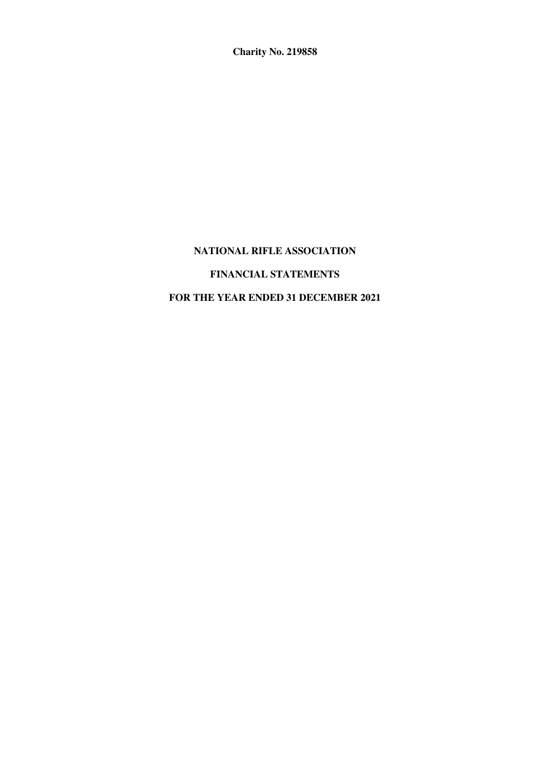**Charity No. 219858** 

# **NATIONAL RIFLE ASSOCIATION FINANCIAL STATEMENTS FOR THE YEAR ENDED 31 DECEMBER 2021**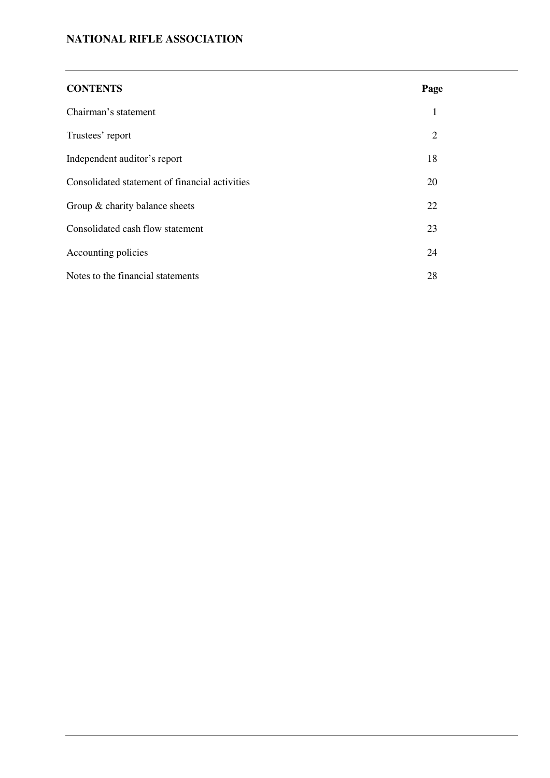| <b>CONTENTS</b>                                | Page           |  |
|------------------------------------------------|----------------|--|
| Chairman's statement                           | 1              |  |
| Trustees' report                               | $\overline{2}$ |  |
| Independent auditor's report                   | 18             |  |
| Consolidated statement of financial activities | 20             |  |
| Group $\&$ charity balance sheets              | 22             |  |
| Consolidated cash flow statement               | 23             |  |
| Accounting policies                            | 24             |  |
| Notes to the financial statements              | 28             |  |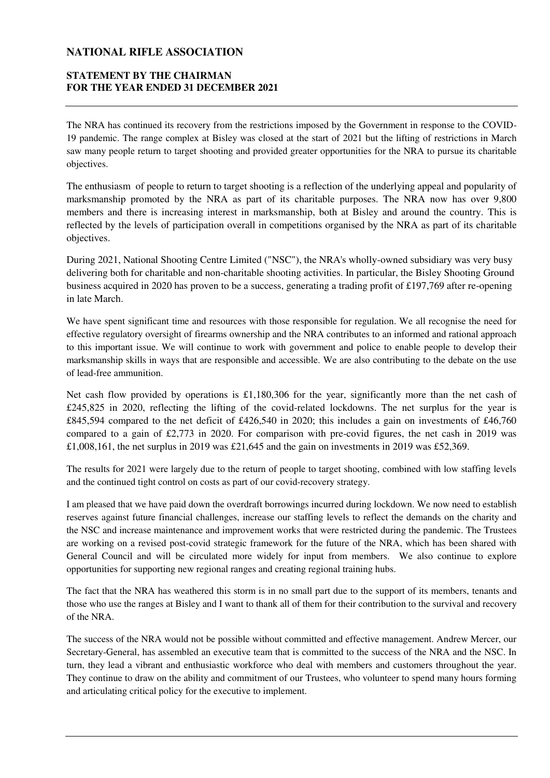### **STATEMENT BY THE CHAIRMAN FOR THE YEAR ENDED 31 DECEMBER 2021**

The NRA has continued its recovery from the restrictions imposed by the Government in response to the COVID-19 pandemic. The range complex at Bisley was closed at the start of 2021 but the lifting of restrictions in March saw many people return to target shooting and provided greater opportunities for the NRA to pursue its charitable objectives.

The enthusiasm of people to return to target shooting is a reflection of the underlying appeal and popularity of marksmanship promoted by the NRA as part of its charitable purposes. The NRA now has over 9,800 members and there is increasing interest in marksmanship, both at Bisley and around the country. This is reflected by the levels of participation overall in competitions organised by the NRA as part of its charitable objectives.

During 2021, National Shooting Centre Limited ("NSC"), the NRA's wholly-owned subsidiary was very busy delivering both for charitable and non-charitable shooting activities. In particular, the Bisley Shooting Ground business acquired in 2020 has proven to be a success, generating a trading profit of £197,769 after re-opening in late March.

We have spent significant time and resources with those responsible for regulation. We all recognise the need for effective regulatory oversight of firearms ownership and the NRA contributes to an informed and rational approach to this important issue. We will continue to work with government and police to enable people to develop their marksmanship skills in ways that are responsible and accessible. We are also contributing to the debate on the use of lead-free ammunition.

Net cash flow provided by operations is £1,180,306 for the year, significantly more than the net cash of £245,825 in 2020, reflecting the lifting of the covid-related lockdowns. The net surplus for the year is £845,594 compared to the net deficit of £426,540 in 2020; this includes a gain on investments of £46,760 compared to a gain of £2,773 in 2020. For comparison with pre-covid figures, the net cash in 2019 was £1,008,161, the net surplus in 2019 was £21,645 and the gain on investments in 2019 was £52,369.

The results for 2021 were largely due to the return of people to target shooting, combined with low staffing levels and the continued tight control on costs as part of our covid-recovery strategy.

I am pleased that we have paid down the overdraft borrowings incurred during lockdown. We now need to establish reserves against future financial challenges, increase our staffing levels to reflect the demands on the charity and the NSC and increase maintenance and improvement works that were restricted during the pandemic. The Trustees are working on a revised post-covid strategic framework for the future of the NRA, which has been shared with General Council and will be circulated more widely for input from members. We also continue to explore opportunities for supporting new regional ranges and creating regional training hubs.

The fact that the NRA has weathered this storm is in no small part due to the support of its members, tenants and those who use the ranges at Bisley and I want to thank all of them for their contribution to the survival and recovery of the NRA.

The success of the NRA would not be possible without committed and effective management. Andrew Mercer, our Secretary-General, has assembled an executive team that is committed to the success of the NRA and the NSC. In turn, they lead a vibrant and enthusiastic workforce who deal with members and customers throughout the year. They continue to draw on the ability and commitment of our Trustees, who volunteer to spend many hours forming and articulating critical policy for the executive to implement.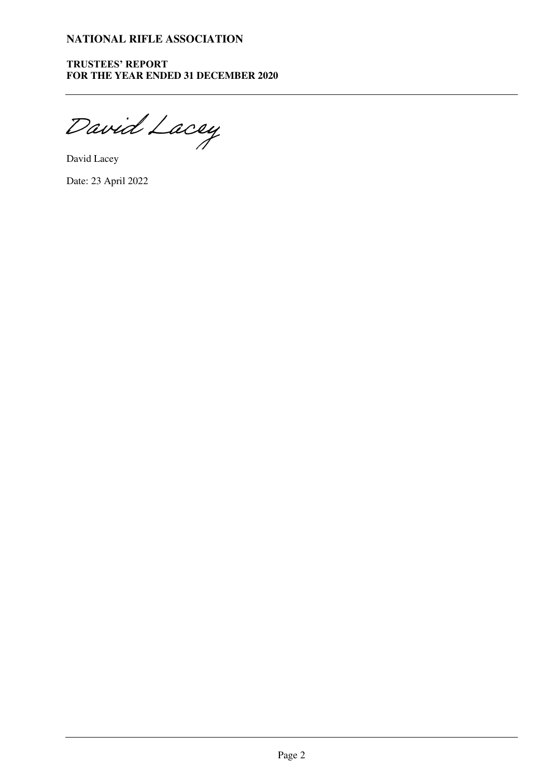**TRUSTEES' REPORT FOR THE YEAR ENDED 31 DECEMBER 2020** 

[David Lacey](https://haysmacintyre.eu1.adobesign.com/verifier?tx=CBJCHBCAABAA-DDmeZYKjM0QrPSsoDuOARcAlZUfmLIg)

David Lacey

Date: 23 April 2022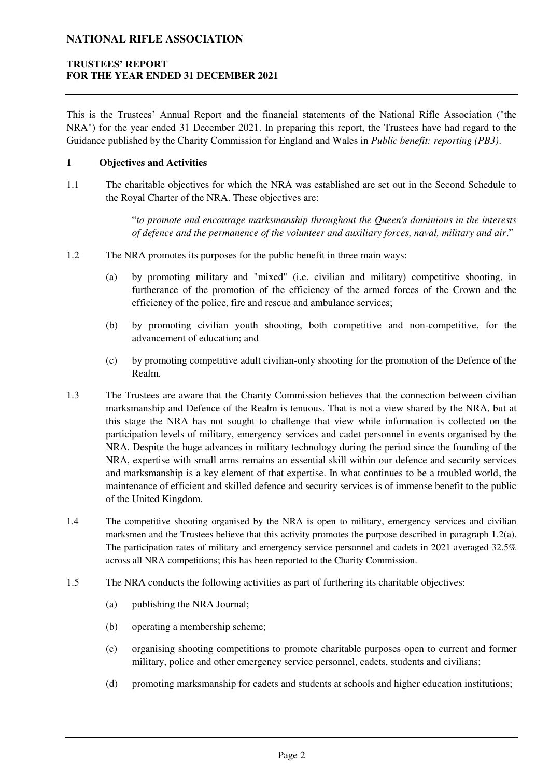### **TRUSTEES' REPORT FOR THE YEAR ENDED 31 DECEMBER 2021**

This is the Trustees' Annual Report and the financial statements of the National Rifle Association ("the NRA") for the year ended 31 December 2021. In preparing this report, the Trustees have had regard to the Guidance published by the Charity Commission for England and Wales in *Public benefit: reporting (PB3)*.

#### **1 Objectives and Activities**

1.1 The charitable objectives for which the NRA was established are set out in the Second Schedule to the Royal Charter of the NRA. These objectives are:

> "*to promote and encourage marksmanship throughout the Queen's dominions in the interests of defence and the permanence of the volunteer and auxiliary forces, naval, military and air*."

- <span id="page-4-0"></span>1.2 The NRA promotes its purposes for the public benefit in three main ways:
	- (a) by promoting military and "mixed" (i.e. civilian and military) competitive shooting, in furtherance of the promotion of the efficiency of the armed forces of the Crown and the efficiency of the police, fire and rescue and ambulance services;
	- (b) by promoting civilian youth shooting, both competitive and non-competitive, for the advancement of education; and
	- (c) by promoting competitive adult civilian-only shooting for the promotion of the Defence of the Realm.
- 1.3 The Trustees are aware that the Charity Commission believes that the connection between civilian marksmanship and Defence of the Realm is tenuous. That is not a view shared by the NRA, but at this stage the NRA has not sought to challenge that view while information is collected on the participation levels of military, emergency services and cadet personnel in events organised by the NRA. Despite the huge advances in military technology during the period since the founding of the NRA, expertise with small arms remains an essential skill within our defence and security services and marksmanship is a key element of that expertise. In what continues to be a troubled world, the maintenance of efficient and skilled defence and security services is of immense benefit to the public of the United Kingdom.
- 1.4 The competitive shooting organised by the NRA is open to military, emergency services and civilian marksmen and the Trustees believe that this activity promotes the purpose described in paragraph [1.2\(a\).](#page-4-0) The participation rates of military and emergency service personnel and cadets in 2021 averaged 32.5% across all NRA competitions; this has been reported to the Charity Commission.
- 1.5 The NRA conducts the following activities as part of furthering its charitable objectives:
	- (a) publishing the NRA Journal;
	- (b) operating a membership scheme;
	- (c) organising shooting competitions to promote charitable purposes open to current and former military, police and other emergency service personnel, cadets, students and civilians;
	- (d) promoting marksmanship for cadets and students at schools and higher education institutions;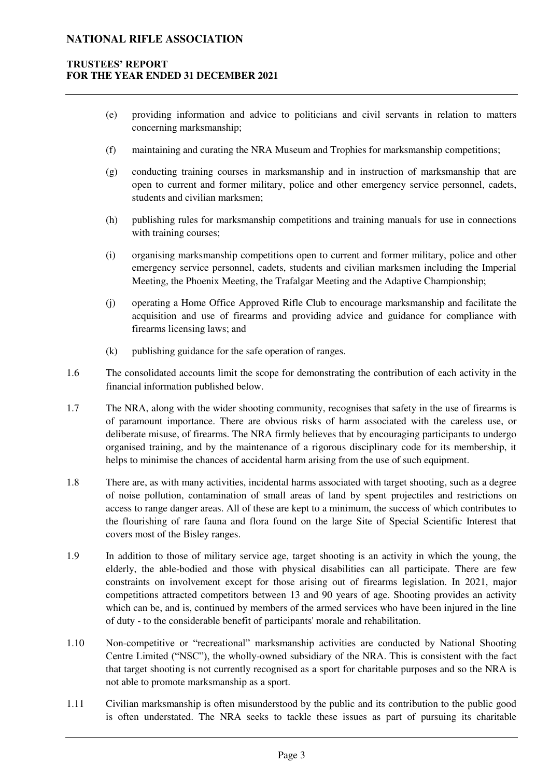### **TRUSTEES' REPORT FOR THE YEAR ENDED 31 DECEMBER 2021**

- (e) providing information and advice to politicians and civil servants in relation to matters concerning marksmanship;
- (f) maintaining and curating the NRA Museum and Trophies for marksmanship competitions;
- (g) conducting training courses in marksmanship and in instruction of marksmanship that are open to current and former military, police and other emergency service personnel, cadets, students and civilian marksmen;
- (h) publishing rules for marksmanship competitions and training manuals for use in connections with training courses;
- (i) organising marksmanship competitions open to current and former military, police and other emergency service personnel, cadets, students and civilian marksmen including the Imperial Meeting, the Phoenix Meeting, the Trafalgar Meeting and the Adaptive Championship;
- (j) operating a Home Office Approved Rifle Club to encourage marksmanship and facilitate the acquisition and use of firearms and providing advice and guidance for compliance with firearms licensing laws; and
- (k) publishing guidance for the safe operation of ranges.
- 1.6 The consolidated accounts limit the scope for demonstrating the contribution of each activity in the financial information published below.
- 1.7 The NRA, along with the wider shooting community, recognises that safety in the use of firearms is of paramount importance. There are obvious risks of harm associated with the careless use, or deliberate misuse, of firearms. The NRA firmly believes that by encouraging participants to undergo organised training, and by the maintenance of a rigorous disciplinary code for its membership, it helps to minimise the chances of accidental harm arising from the use of such equipment.
- 1.8 There are, as with many activities, incidental harms associated with target shooting, such as a degree of noise pollution, contamination of small areas of land by spent projectiles and restrictions on access to range danger areas. All of these are kept to a minimum, the success of which contributes to the flourishing of rare fauna and flora found on the large Site of Special Scientific Interest that covers most of the Bisley ranges.
- 1.9 In addition to those of military service age, target shooting is an activity in which the young, the elderly, the able-bodied and those with physical disabilities can all participate. There are few constraints on involvement except for those arising out of firearms legislation. In 2021, major competitions attracted competitors between 13 and 90 years of age. Shooting provides an activity which can be, and is, continued by members of the armed services who have been injured in the line of duty - to the considerable benefit of participants' morale and rehabilitation.
- 1.10 Non-competitive or "recreational" marksmanship activities are conducted by National Shooting Centre Limited ("NSC"), the wholly-owned subsidiary of the NRA. This is consistent with the fact that target shooting is not currently recognised as a sport for charitable purposes and so the NRA is not able to promote marksmanship as a sport.
- 1.11 Civilian marksmanship is often misunderstood by the public and its contribution to the public good is often understated. The NRA seeks to tackle these issues as part of pursuing its charitable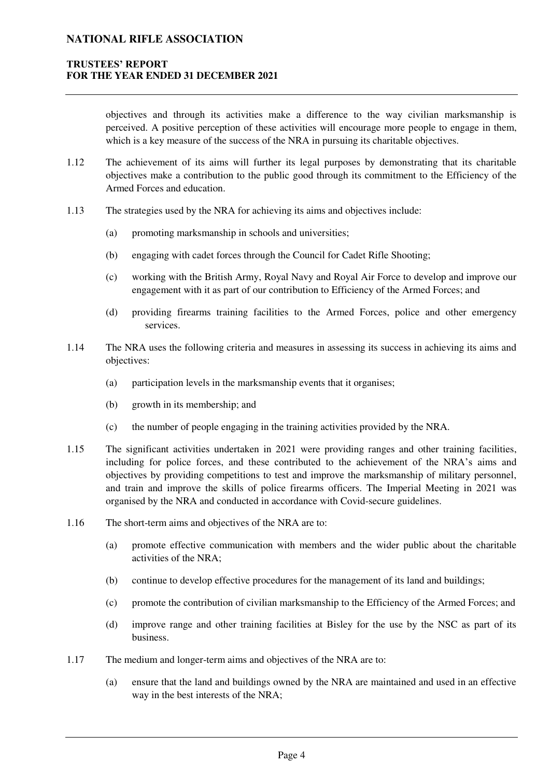### **TRUSTEES' REPORT FOR THE YEAR ENDED 31 DECEMBER 2021**

objectives and through its activities make a difference to the way civilian marksmanship is perceived. A positive perception of these activities will encourage more people to engage in them, which is a key measure of the success of the NRA in pursuing its charitable objectives.

- 1.12 The achievement of its aims will further its legal purposes by demonstrating that its charitable objectives make a contribution to the public good through its commitment to the Efficiency of the Armed Forces and education.
- 1.13 The strategies used by the NRA for achieving its aims and objectives include:
	- (a) promoting marksmanship in schools and universities;
	- (b) engaging with cadet forces through the Council for Cadet Rifle Shooting;
	- (c) working with the British Army, Royal Navy and Royal Air Force to develop and improve our engagement with it as part of our contribution to Efficiency of the Armed Forces; and
	- (d) providing firearms training facilities to the Armed Forces, police and other emergency services.
- 1.14 The NRA uses the following criteria and measures in assessing its success in achieving its aims and objectives:
	- (a) participation levels in the marksmanship events that it organises;
	- (b) growth in its membership; and
	- (c) the number of people engaging in the training activities provided by the NRA.
- 1.15 The significant activities undertaken in 2021 were providing ranges and other training facilities, including for police forces, and these contributed to the achievement of the NRA's aims and objectives by providing competitions to test and improve the marksmanship of military personnel, and train and improve the skills of police firearms officers. The Imperial Meeting in 2021 was organised by the NRA and conducted in accordance with Covid-secure guidelines.
- 1.16 The short-term aims and objectives of the NRA are to:
	- (a) promote effective communication with members and the wider public about the charitable activities of the NRA;
	- (b) continue to develop effective procedures for the management of its land and buildings;
	- (c) promote the contribution of civilian marksmanship to the Efficiency of the Armed Forces; and
	- (d) improve range and other training facilities at Bisley for the use by the NSC as part of its business.
- 1.17 The medium and longer-term aims and objectives of the NRA are to:
	- (a) ensure that the land and buildings owned by the NRA are maintained and used in an effective way in the best interests of the NRA;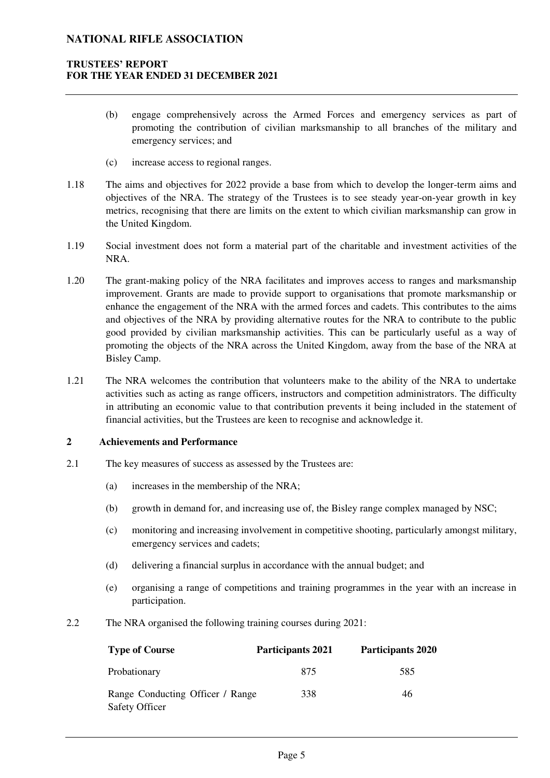### **TRUSTEES' REPORT FOR THE YEAR ENDED 31 DECEMBER 2021**

- (b) engage comprehensively across the Armed Forces and emergency services as part of promoting the contribution of civilian marksmanship to all branches of the military and emergency services; and
- (c) increase access to regional ranges.
- 1.18 The aims and objectives for 2022 provide a base from which to develop the longer-term aims and objectives of the NRA. The strategy of the Trustees is to see steady year-on-year growth in key metrics, recognising that there are limits on the extent to which civilian marksmanship can grow in the United Kingdom.
- 1.19 Social investment does not form a material part of the charitable and investment activities of the NRA.
- 1.20 The grant-making policy of the NRA facilitates and improves access to ranges and marksmanship improvement. Grants are made to provide support to organisations that promote marksmanship or enhance the engagement of the NRA with the armed forces and cadets. This contributes to the aims and objectives of the NRA by providing alternative routes for the NRA to contribute to the public good provided by civilian marksmanship activities. This can be particularly useful as a way of promoting the objects of the NRA across the United Kingdom, away from the base of the NRA at Bisley Camp.
- 1.21 The NRA welcomes the contribution that volunteers make to the ability of the NRA to undertake activities such as acting as range officers, instructors and competition administrators. The difficulty in attributing an economic value to that contribution prevents it being included in the statement of financial activities, but the Trustees are keen to recognise and acknowledge it.

### **2 Achievements and Performance**

- 2.1 The key measures of success as assessed by the Trustees are:
	- (a) increases in the membership of the NRA;
	- (b) growth in demand for, and increasing use of, the Bisley range complex managed by NSC;
	- (c) monitoring and increasing involvement in competitive shooting, particularly amongst military, emergency services and cadets;
	- (d) delivering a financial surplus in accordance with the annual budget; and
	- (e) organising a range of competitions and training programmes in the year with an increase in participation.
- 2.2 The NRA organised the following training courses during 2021:

| <b>Type of Course</b>                              | <b>Participants 2021</b> | <b>Participants 2020</b> |
|----------------------------------------------------|--------------------------|--------------------------|
| Probationary                                       | 875                      | 585                      |
| Range Conducting Officer / Range<br>Safety Officer | 338                      | 46                       |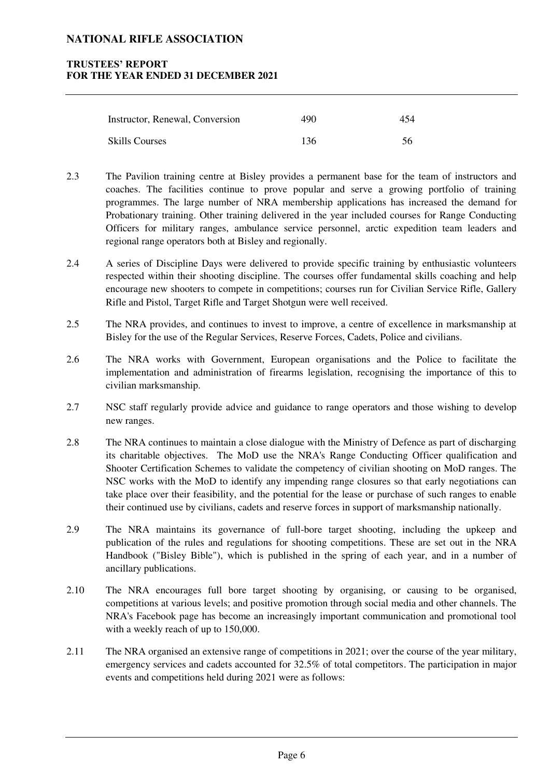### **TRUSTEES' REPORT FOR THE YEAR ENDED 31 DECEMBER 2021**

| Instructor, Renewal, Conversion | 490 | 454 |
|---------------------------------|-----|-----|
| <b>Skills Courses</b>           | 136 | 56  |

- 2.3 The Pavilion training centre at Bisley provides a permanent base for the team of instructors and coaches. The facilities continue to prove popular and serve a growing portfolio of training programmes. The large number of NRA membership applications has increased the demand for Probationary training. Other training delivered in the year included courses for Range Conducting Officers for military ranges, ambulance service personnel, arctic expedition team leaders and regional range operators both at Bisley and regionally.
- 2.4 A series of Discipline Days were delivered to provide specific training by enthusiastic volunteers respected within their shooting discipline. The courses offer fundamental skills coaching and help encourage new shooters to compete in competitions; courses run for Civilian Service Rifle, Gallery Rifle and Pistol, Target Rifle and Target Shotgun were well received.
- 2.5 The NRA provides, and continues to invest to improve, a centre of excellence in marksmanship at Bisley for the use of the Regular Services, Reserve Forces, Cadets, Police and civilians.
- 2.6 The NRA works with Government, European organisations and the Police to facilitate the implementation and administration of firearms legislation, recognising the importance of this to civilian marksmanship.
- 2.7 NSC staff regularly provide advice and guidance to range operators and those wishing to develop new ranges.
- 2.8 The NRA continues to maintain a close dialogue with the Ministry of Defence as part of discharging its charitable objectives. The MoD use the NRA's Range Conducting Officer qualification and Shooter Certification Schemes to validate the competency of civilian shooting on MoD ranges. The NSC works with the MoD to identify any impending range closures so that early negotiations can take place over their feasibility, and the potential for the lease or purchase of such ranges to enable their continued use by civilians, cadets and reserve forces in support of marksmanship nationally.
- 2.9 The NRA maintains its governance of full-bore target shooting, including the upkeep and publication of the rules and regulations for shooting competitions. These are set out in the NRA Handbook ("Bisley Bible"), which is published in the spring of each year, and in a number of ancillary publications.
- 2.10 The NRA encourages full bore target shooting by organising, or causing to be organised, competitions at various levels; and positive promotion through social media and other channels. The NRA's Facebook page has become an increasingly important communication and promotional tool with a weekly reach of up to 150,000.
- 2.11 The NRA organised an extensive range of competitions in 2021; over the course of the year military, emergency services and cadets accounted for 32.5% of total competitors. The participation in major events and competitions held during 2021 were as follows: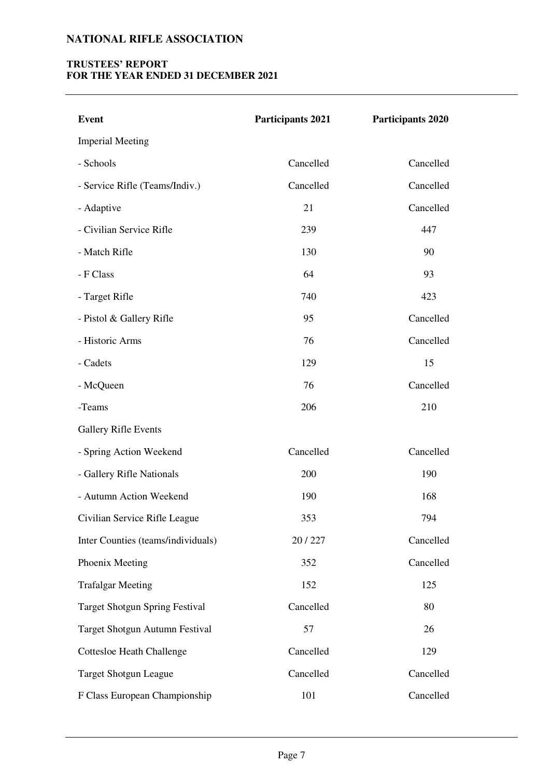# **TRUSTEES' REPORT FOR THE YEAR ENDED 31 DECEMBER 2021**

| <b>Event</b>                          | <b>Participants 2021</b> | <b>Participants 2020</b> |
|---------------------------------------|--------------------------|--------------------------|
| <b>Imperial Meeting</b>               |                          |                          |
| - Schools                             | Cancelled                | Cancelled                |
| - Service Rifle (Teams/Indiv.)        | Cancelled                | Cancelled                |
| - Adaptive                            | 21                       | Cancelled                |
| - Civilian Service Rifle              | 239                      | 447                      |
| - Match Rifle                         | 130                      | 90                       |
| - F Class                             | 64                       | 93                       |
| - Target Rifle                        | 740                      | 423                      |
| - Pistol & Gallery Rifle              | 95                       | Cancelled                |
| - Historic Arms                       | 76                       | Cancelled                |
| - Cadets                              | 129                      | 15                       |
| - McQueen                             | 76                       | Cancelled                |
| -Teams                                | 206                      | 210                      |
| <b>Gallery Rifle Events</b>           |                          |                          |
| - Spring Action Weekend               | Cancelled                | Cancelled                |
| - Gallery Rifle Nationals             | 200                      | 190                      |
| - Autumn Action Weekend               | 190                      | 168                      |
| Civilian Service Rifle League         | 353                      | 794                      |
| Inter Counties (teams/individuals)    | 20/227                   | Cancelled                |
| Phoenix Meeting                       | 352                      | Cancelled                |
| <b>Trafalgar Meeting</b>              | 152                      | 125                      |
| <b>Target Shotgun Spring Festival</b> | Cancelled                | 80                       |
| Target Shotgun Autumn Festival        | 57                       | 26                       |
| <b>Cottesloe Heath Challenge</b>      | Cancelled                | 129                      |
| <b>Target Shotgun League</b>          | Cancelled                | Cancelled                |
| F Class European Championship         | 101                      | Cancelled                |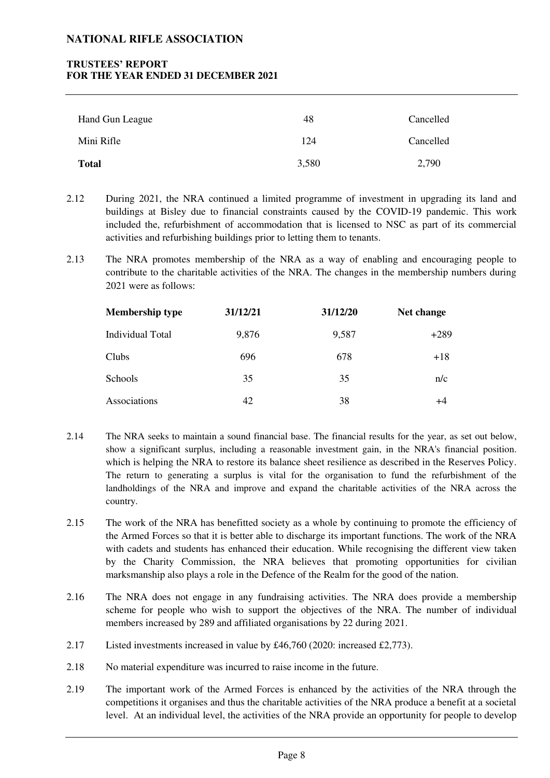### **TRUSTEES' REPORT FOR THE YEAR ENDED 31 DECEMBER 2021**

| Hand Gun League | 48    | Cancelled |
|-----------------|-------|-----------|
| Mini Rifle      | 124   | Cancelled |
| <b>Total</b>    | 3,580 | 2,790     |

2.12 During 2021, the NRA continued a limited programme of investment in upgrading its land and buildings at Bisley due to financial constraints caused by the COVID-19 pandemic. This work included the, refurbishment of accommodation that is licensed to NSC as part of its commercial activities and refurbishing buildings prior to letting them to tenants.

2.13 The NRA promotes membership of the NRA as a way of enabling and encouraging people to contribute to the charitable activities of the NRA. The changes in the membership numbers during 2021 were as follows:

| <b>Membership type</b> | 31/12/21 | 31/12/20 | Net change |
|------------------------|----------|----------|------------|
| Individual Total       | 9,876    | 9,587    | $+289$     |
| Clubs                  | 696      | 678      | $+18$      |
| Schools                | 35       | 35       | n/c        |
| Associations           | 42       | 38       | +4         |

- 2.14 The NRA seeks to maintain a sound financial base. The financial results for the year, as set out below, show a significant surplus, including a reasonable investment gain, in the NRA's financial position. which is helping the NRA to restore its balance sheet resilience as described in the Reserves Policy. The return to generating a surplus is vital for the organisation to fund the refurbishment of the landholdings of the NRA and improve and expand the charitable activities of the NRA across the country.
- 2.15 The work of the NRA has benefitted society as a whole by continuing to promote the efficiency of the Armed Forces so that it is better able to discharge its important functions. The work of the NRA with cadets and students has enhanced their education. While recognising the different view taken by the Charity Commission, the NRA believes that promoting opportunities for civilian marksmanship also plays a role in the Defence of the Realm for the good of the nation.
- 2.16 The NRA does not engage in any fundraising activities. The NRA does provide a membership scheme for people who wish to support the objectives of the NRA. The number of individual members increased by 289 and affiliated organisations by 22 during 2021.
- 2.17 Listed investments increased in value by £46,760 (2020: increased £2,773).
- 2.18 No material expenditure was incurred to raise income in the future.
- 2.19 The important work of the Armed Forces is enhanced by the activities of the NRA through the competitions it organises and thus the charitable activities of the NRA produce a benefit at a societal level. At an individual level, the activities of the NRA provide an opportunity for people to develop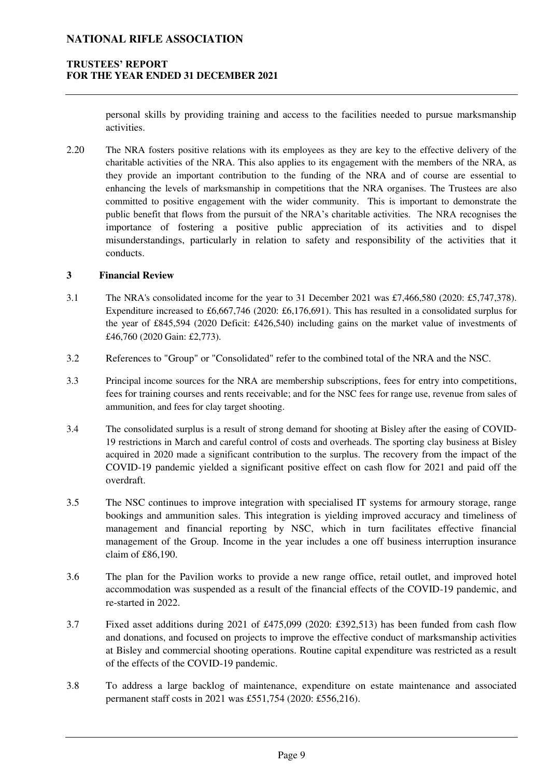### **TRUSTEES' REPORT FOR THE YEAR ENDED 31 DECEMBER 2021**

personal skills by providing training and access to the facilities needed to pursue marksmanship activities.

2.20 The NRA fosters positive relations with its employees as they are key to the effective delivery of the charitable activities of the NRA. This also applies to its engagement with the members of the NRA, as they provide an important contribution to the funding of the NRA and of course are essential to enhancing the levels of marksmanship in competitions that the NRA organises. The Trustees are also committed to positive engagement with the wider community. This is important to demonstrate the public benefit that flows from the pursuit of the NRA's charitable activities. The NRA recognises the importance of fostering a positive public appreciation of its activities and to dispel misunderstandings, particularly in relation to safety and responsibility of the activities that it conducts.

#### **3 Financial Review**

- 3.1 The NRA's consolidated income for the year to 31 December 2021 was £7,466,580 (2020: £5,747,378). Expenditure increased to £6,667,746 (2020: £6,176,691). This has resulted in a consolidated surplus for the year of £845,594 (2020 Deficit: £426,540) including gains on the market value of investments of £46,760 (2020 Gain: £2,773).
- 3.2 References to "Group" or "Consolidated" refer to the combined total of the NRA and the NSC.
- 3.3 Principal income sources for the NRA are membership subscriptions, fees for entry into competitions, fees for training courses and rents receivable; and for the NSC fees for range use, revenue from sales of ammunition, and fees for clay target shooting.
- 3.4 The consolidated surplus is a result of strong demand for shooting at Bisley after the easing of COVID-19 restrictions in March and careful control of costs and overheads. The sporting clay business at Bisley acquired in 2020 made a significant contribution to the surplus. The recovery from the impact of the COVID-19 pandemic yielded a significant positive effect on cash flow for 2021 and paid off the overdraft.
- 3.5 The NSC continues to improve integration with specialised IT systems for armoury storage, range bookings and ammunition sales. This integration is yielding improved accuracy and timeliness of management and financial reporting by NSC, which in turn facilitates effective financial management of the Group. Income in the year includes a one off business interruption insurance claim of £86,190.
- 3.6 The plan for the Pavilion works to provide a new range office, retail outlet, and improved hotel accommodation was suspended as a result of the financial effects of the COVID-19 pandemic, and re-started in 2022.
- 3.7 Fixed asset additions during 2021 of £475,099 (2020: £392,513) has been funded from cash flow and donations, and focused on projects to improve the effective conduct of marksmanship activities at Bisley and commercial shooting operations. Routine capital expenditure was restricted as a result of the effects of the COVID-19 pandemic.
- 3.8 To address a large backlog of maintenance, expenditure on estate maintenance and associated permanent staff costs in 2021 was £551,754 (2020: £556,216).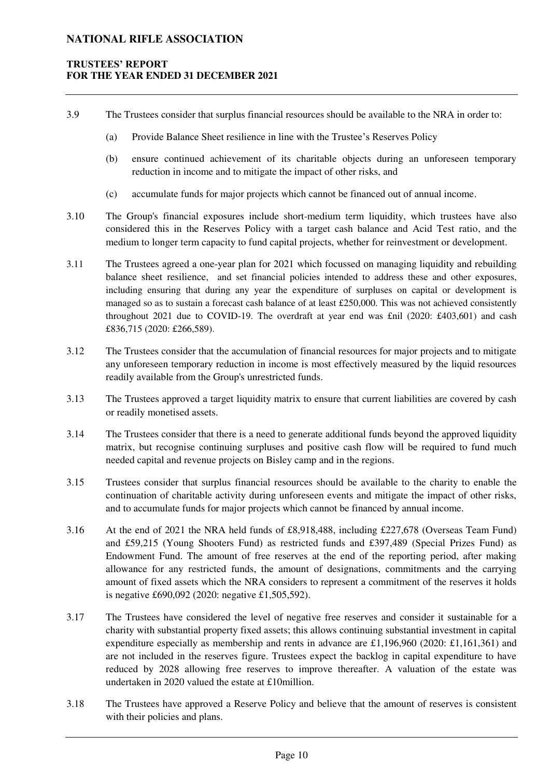### **TRUSTEES' REPORT FOR THE YEAR ENDED 31 DECEMBER 2021**

- 3.9 The Trustees consider that surplus financial resources should be available to the NRA in order to:
	- (a) Provide Balance Sheet resilience in line with the Trustee's Reserves Policy
	- (b) ensure continued achievement of its charitable objects during an unforeseen temporary reduction in income and to mitigate the impact of other risks, and
	- (c) accumulate funds for major projects which cannot be financed out of annual income.
- 3.10 The Group's financial exposures include short-medium term liquidity, which trustees have also considered this in the Reserves Policy with a target cash balance and Acid Test ratio, and the medium to longer term capacity to fund capital projects, whether for reinvestment or development.
- 3.11 The Trustees agreed a one-year plan for 2021 which focussed on managing liquidity and rebuilding balance sheet resilience, and set financial policies intended to address these and other exposures, including ensuring that during any year the expenditure of surpluses on capital or development is managed so as to sustain a forecast cash balance of at least £250,000. This was not achieved consistently throughout 2021 due to COVID-19. The overdraft at year end was  $\text{fail}$  (2020: £403,601) and cash £836,715 (2020: £266,589).
- 3.12 The Trustees consider that the accumulation of financial resources for major projects and to mitigate any unforeseen temporary reduction in income is most effectively measured by the liquid resources readily available from the Group's unrestricted funds.
- 3.13 The Trustees approved a target liquidity matrix to ensure that current liabilities are covered by cash or readily monetised assets.
- 3.14 The Trustees consider that there is a need to generate additional funds beyond the approved liquidity matrix, but recognise continuing surpluses and positive cash flow will be required to fund much needed capital and revenue projects on Bisley camp and in the regions.
- 3.15 Trustees consider that surplus financial resources should be available to the charity to enable the continuation of charitable activity during unforeseen events and mitigate the impact of other risks, and to accumulate funds for major projects which cannot be financed by annual income.
- 3.16 At the end of 2021 the NRA held funds of £8,918,488, including £227,678 (Overseas Team Fund) and £59,215 (Young Shooters Fund) as restricted funds and £397,489 (Special Prizes Fund) as Endowment Fund. The amount of free reserves at the end of the reporting period, after making allowance for any restricted funds, the amount of designations, commitments and the carrying amount of fixed assets which the NRA considers to represent a commitment of the reserves it holds is negative £690,092 (2020: negative £1,505,592).
- 3.17 The Trustees have considered the level of negative free reserves and consider it sustainable for a charity with substantial property fixed assets; this allows continuing substantial investment in capital expenditure especially as membership and rents in advance are £1,196,960 (2020: £1,161,361) and are not included in the reserves figure. Trustees expect the backlog in capital expenditure to have reduced by 2028 allowing free reserves to improve thereafter. A valuation of the estate was undertaken in 2020 valued the estate at £10million.
- 3.18 The Trustees have approved a Reserve Policy and believe that the amount of reserves is consistent with their policies and plans.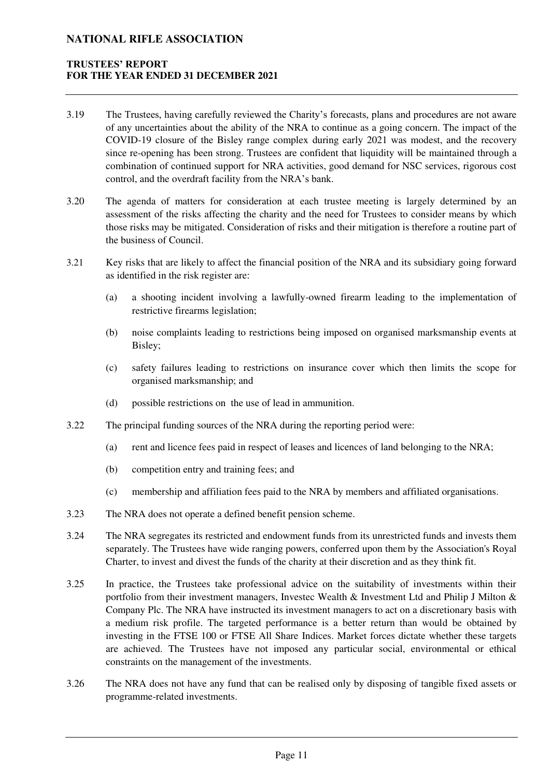### **TRUSTEES' REPORT FOR THE YEAR ENDED 31 DECEMBER 2021**

- 3.19 The Trustees, having carefully reviewed the Charity's forecasts, plans and procedures are not aware of any uncertainties about the ability of the NRA to continue as a going concern. The impact of the COVID-19 closure of the Bisley range complex during early 2021 was modest, and the recovery since re-opening has been strong. Trustees are confident that liquidity will be maintained through a combination of continued support for NRA activities, good demand for NSC services, rigorous cost control, and the overdraft facility from the NRA's bank.
- 3.20 The agenda of matters for consideration at each trustee meeting is largely determined by an assessment of the risks affecting the charity and the need for Trustees to consider means by which those risks may be mitigated. Consideration of risks and their mitigation is therefore a routine part of the business of Council.
- 3.21 Key risks that are likely to affect the financial position of the NRA and its subsidiary going forward as identified in the risk register are:
	- (a) a shooting incident involving a lawfully-owned firearm leading to the implementation of restrictive firearms legislation;
	- (b) noise complaints leading to restrictions being imposed on organised marksmanship events at Bisley;
	- (c) safety failures leading to restrictions on insurance cover which then limits the scope for organised marksmanship; and
	- (d) possible restrictions on the use of lead in ammunition.
- 3.22 The principal funding sources of the NRA during the reporting period were:
	- (a) rent and licence fees paid in respect of leases and licences of land belonging to the NRA;
	- (b) competition entry and training fees; and
	- (c) membership and affiliation fees paid to the NRA by members and affiliated organisations.
- 3.23 The NRA does not operate a defined benefit pension scheme.
- 3.24 The NRA segregates its restricted and endowment funds from its unrestricted funds and invests them separately. The Trustees have wide ranging powers, conferred upon them by the Association's Royal Charter, to invest and divest the funds of the charity at their discretion and as they think fit.
- 3.25 In practice, the Trustees take professional advice on the suitability of investments within their portfolio from their investment managers, Investec Wealth & Investment Ltd and Philip J Milton & Company Plc. The NRA have instructed its investment managers to act on a discretionary basis with a medium risk profile. The targeted performance is a better return than would be obtained by investing in the FTSE 100 or FTSE All Share Indices. Market forces dictate whether these targets are achieved. The Trustees have not imposed any particular social, environmental or ethical constraints on the management of the investments.
- 3.26 The NRA does not have any fund that can be realised only by disposing of tangible fixed assets or programme-related investments.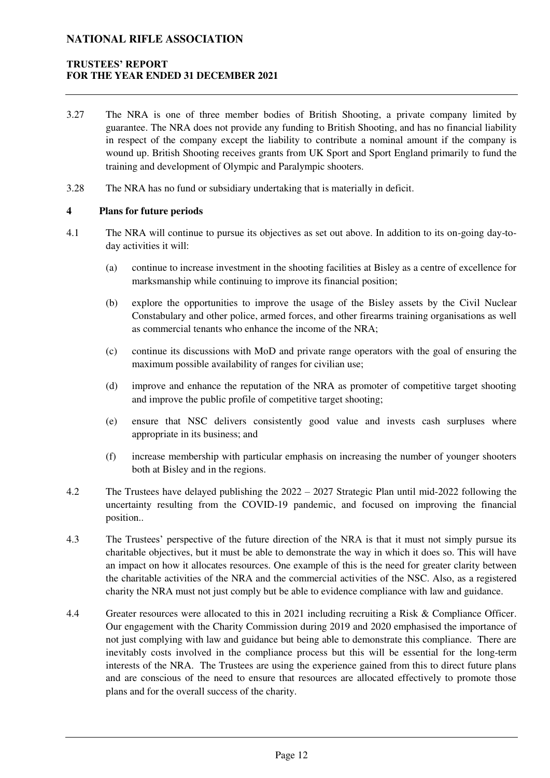### **TRUSTEES' REPORT FOR THE YEAR ENDED 31 DECEMBER 2021**

- 3.27 The NRA is one of three member bodies of British Shooting, a private company limited by guarantee. The NRA does not provide any funding to British Shooting, and has no financial liability in respect of the company except the liability to contribute a nominal amount if the company is wound up. British Shooting receives grants from UK Sport and Sport England primarily to fund the training and development of Olympic and Paralympic shooters.
- 3.28 The NRA has no fund or subsidiary undertaking that is materially in deficit.

#### **4 Plans for future periods**

- 4.1 The NRA will continue to pursue its objectives as set out above. In addition to its on-going day-today activities it will:
	- (a) continue to increase investment in the shooting facilities at Bisley as a centre of excellence for marksmanship while continuing to improve its financial position;
	- (b) explore the opportunities to improve the usage of the Bisley assets by the Civil Nuclear Constabulary and other police, armed forces, and other firearms training organisations as well as commercial tenants who enhance the income of the NRA;
	- (c) continue its discussions with MoD and private range operators with the goal of ensuring the maximum possible availability of ranges for civilian use;
	- (d) improve and enhance the reputation of the NRA as promoter of competitive target shooting and improve the public profile of competitive target shooting;
	- (e) ensure that NSC delivers consistently good value and invests cash surpluses where appropriate in its business; and
	- (f) increase membership with particular emphasis on increasing the number of younger shooters both at Bisley and in the regions.
- 4.2 The Trustees have delayed publishing the 2022 2027 Strategic Plan until mid-2022 following the uncertainty resulting from the COVID-19 pandemic, and focused on improving the financial position..
- 4.3 The Trustees' perspective of the future direction of the NRA is that it must not simply pursue its charitable objectives, but it must be able to demonstrate the way in which it does so. This will have an impact on how it allocates resources. One example of this is the need for greater clarity between the charitable activities of the NRA and the commercial activities of the NSC. Also, as a registered charity the NRA must not just comply but be able to evidence compliance with law and guidance.
- 4.4 Greater resources were allocated to this in 2021 including recruiting a Risk & Compliance Officer. Our engagement with the Charity Commission during 2019 and 2020 emphasised the importance of not just complying with law and guidance but being able to demonstrate this compliance. There are inevitably costs involved in the compliance process but this will be essential for the long-term interests of the NRA. The Trustees are using the experience gained from this to direct future plans and are conscious of the need to ensure that resources are allocated effectively to promote those plans and for the overall success of the charity.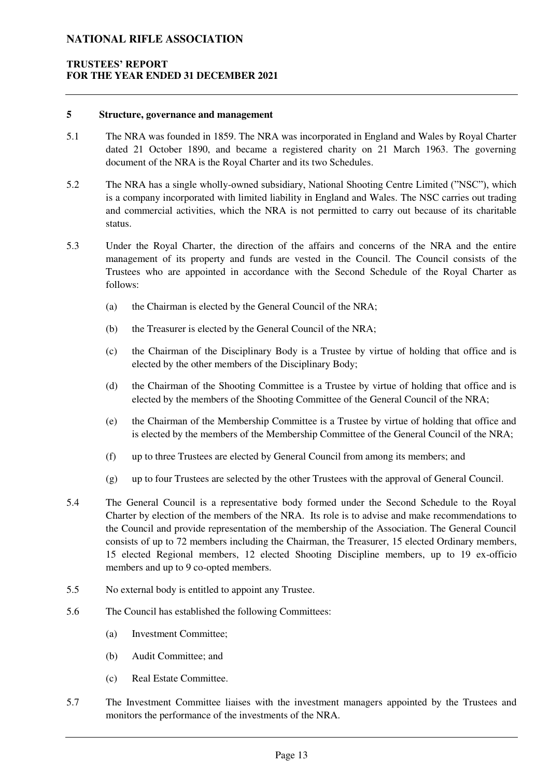### **TRUSTEES' REPORT FOR THE YEAR ENDED 31 DECEMBER 2021**

#### **5 Structure, governance and management**

- 5.1 The NRA was founded in 1859. The NRA was incorporated in England and Wales by Royal Charter dated 21 October 1890, and became a registered charity on 21 March 1963. The governing document of the NRA is the Royal Charter and its two Schedules.
- 5.2 The NRA has a single wholly-owned subsidiary, National Shooting Centre Limited ("NSC"), which is a company incorporated with limited liability in England and Wales. The NSC carries out trading and commercial activities, which the NRA is not permitted to carry out because of its charitable status.
- 5.3 Under the Royal Charter, the direction of the affairs and concerns of the NRA and the entire management of its property and funds are vested in the Council. The Council consists of the Trustees who are appointed in accordance with the Second Schedule of the Royal Charter as follows:
	- (a) the Chairman is elected by the General Council of the NRA;
	- (b) the Treasurer is elected by the General Council of the NRA;
	- (c) the Chairman of the Disciplinary Body is a Trustee by virtue of holding that office and is elected by the other members of the Disciplinary Body;
	- (d) the Chairman of the Shooting Committee is a Trustee by virtue of holding that office and is elected by the members of the Shooting Committee of the General Council of the NRA;
	- (e) the Chairman of the Membership Committee is a Trustee by virtue of holding that office and is elected by the members of the Membership Committee of the General Council of the NRA;
	- (f) up to three Trustees are elected by General Council from among its members; and
	- (g) up to four Trustees are selected by the other Trustees with the approval of General Council.
- 5.4 The General Council is a representative body formed under the Second Schedule to the Royal Charter by election of the members of the NRA. Its role is to advise and make recommendations to the Council and provide representation of the membership of the Association. The General Council consists of up to 72 members including the Chairman, the Treasurer, 15 elected Ordinary members, 15 elected Regional members, 12 elected Shooting Discipline members, up to 19 ex-officio members and up to 9 co-opted members.
- 5.5 No external body is entitled to appoint any Trustee.
- 5.6 The Council has established the following Committees:
	- (a) Investment Committee;
	- (b) Audit Committee; and
	- (c) Real Estate Committee.
- 5.7 The Investment Committee liaises with the investment managers appointed by the Trustees and monitors the performance of the investments of the NRA.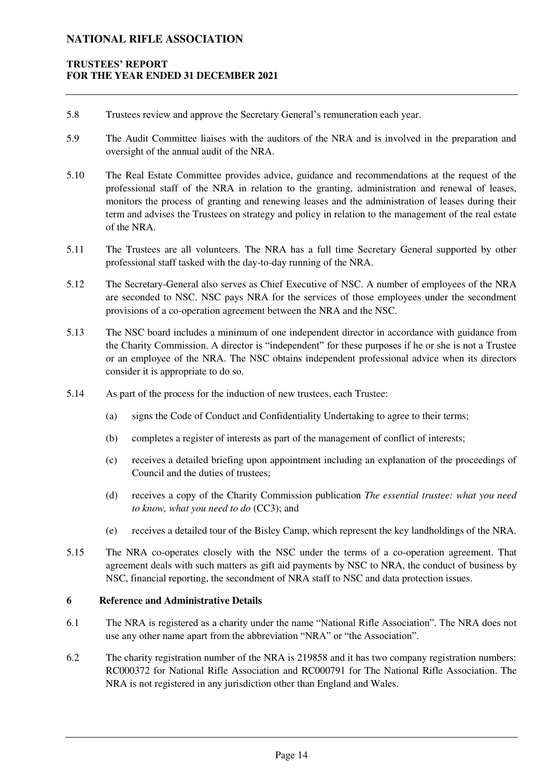### **TRUSTEES' REPORT FOR THE YEAR ENDED 31 DECEMBER 2021**

- 5.8 Trustees review and approve the Secretary General's remuneration each year.
- 5.9 The Audit Committee liaises with the auditors of the NRA and is involved in the preparation and oversight of the annual audit of the NRA.
- 5.10 The Real Estate Committee provides advice, guidance and recommendations at the request of the professional staff of the NRA in relation to the granting, administration and renewal of leases, monitors the process of granting and renewing leases and the administration of leases during their term and advises the Trustees on strategy and policy in relation to the management of the real estate of the NRA.
- 5.11 The Trustees are all volunteers. The NRA has a full time Secretary General supported by other professional staff tasked with the day-to-day running of the NRA.
- 5.12 The Secretary-General also serves as Chief Executive of NSC. A number of employees of the NRA are seconded to NSC. NSC pays NRA for the services of those employees under the secondment provisions of a co-operation agreement between the NRA and the NSC.
- 5.13 The NSC board includes a minimum of one independent director in accordance with guidance from the Charity Commission. A director is "independent" for these purposes if he or she is not a Trustee or an employee of the NRA. The NSC obtains independent professional advice when its directors consider it is appropriate to do so.
- 5.14 As part of the process for the induction of new trustees, each Trustee:
	- (a) signs the Code of Conduct and Confidentiality Undertaking to agree to their terms;
	- (b) completes a register of interests as part of the management of conflict of interests;
	- (c) receives a detailed briefing upon appointment including an explanation of the proceedings of Council and the duties of trustees;
	- (d) receives a copy of the Charity Commission publication *The essential trustee: what you need to know, what you need to do* (CC3); and
	- (e) receives a detailed tour of the Bisley Camp, which represent the key landholdings of the NRA.
- 5.15 The NRA co-operates closely with the NSC under the terms of a co-operation agreement. That agreement deals with such matters as gift aid payments by NSC to NRA, the conduct of business by NSC, financial reporting, the secondment of NRA staff to NSC and data protection issues.

#### **6 Reference and Administrative Details**

- 6.1 The NRA is registered as a charity under the name "National Rifle Association". The NRA does not use any other name apart from the abbreviation "NRA" or "the Association".
- 6.2 The charity registration number of the NRA is 219858 and it has two company registration numbers: RC000372 for National Rifle Association and RC000791 for The National Rifle Association. The NRA is not registered in any jurisdiction other than England and Wales.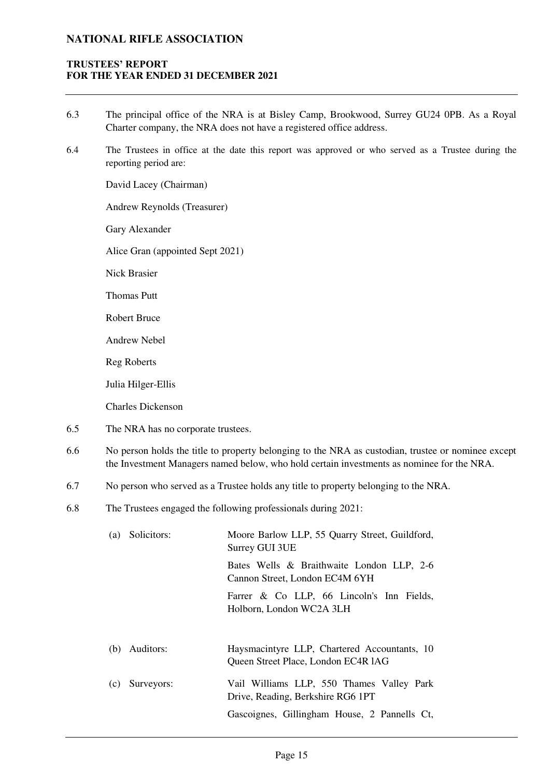### **TRUSTEES' REPORT FOR THE YEAR ENDED 31 DECEMBER 2021**

- 6.3 The principal office of the NRA is at Bisley Camp, Brookwood, Surrey GU24 0PB. As a Royal Charter company, the NRA does not have a registered office address.
- 6.4 The Trustees in office at the date this report was approved or who served as a Trustee during the reporting period are:

David Lacey (Chairman)

Andrew Reynolds (Treasurer)

Gary Alexander

Alice Gran (appointed Sept 2021)

Nick Brasier

Thomas Putt

Robert Bruce

Andrew Nebel

Reg Roberts

Julia Hilger-Ellis

Charles Dickenson

- 6.5 The NRA has no corporate trustees.
- 6.6 No person holds the title to property belonging to the NRA as custodian, trustee or nominee except the Investment Managers named below, who hold certain investments as nominee for the NRA.
- 6.7 No person who served as a Trustee holds any title to property belonging to the NRA.
- 6.8 The Trustees engaged the following professionals during 2021:

| Solicitors: | Moore Barlow LLP, 55 Quarry Street, Guildford,                              |  |  |  |  |
|-------------|-----------------------------------------------------------------------------|--|--|--|--|
| (a)         | Surrey GUI 3UE                                                              |  |  |  |  |
|             | Bates Wells & Braithwaite London LLP, 2-6<br>Cannon Street, London EC4M 6YH |  |  |  |  |
|             | Farrer & Co LLP, 66 Lincoln's Inn Fields,<br>Holborn, London WC2A 3LH       |  |  |  |  |
| Auditors:   | Haysmacintyre LLP, Chartered Accountants, 10                                |  |  |  |  |
| (b)         | Queen Street Place, London EC4R 1AG                                         |  |  |  |  |
| Surveyors:  | Vail Williams LLP, 550 Thames Valley Park                                   |  |  |  |  |
| (c)         | Drive, Reading, Berkshire RG6 1PT                                           |  |  |  |  |
|             | Gascoignes, Gillingham House, 2 Pannells Ct,                                |  |  |  |  |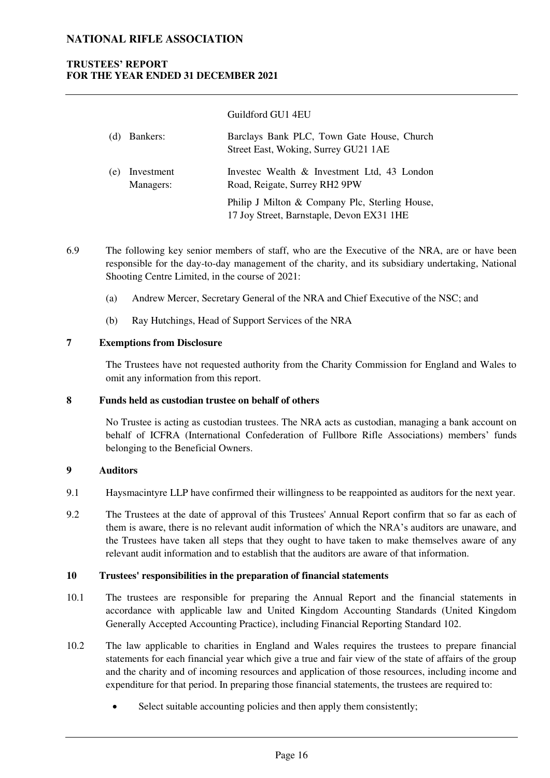### **TRUSTEES' REPORT FOR THE YEAR ENDED 31 DECEMBER 2021**

|     | (d) Bankers:            | Barclays Bank PLC, Town Gate House, Church<br>Street East, Woking, Surrey GU21 1AE          |
|-----|-------------------------|---------------------------------------------------------------------------------------------|
| (e) | Investment<br>Managers: | Invested Wealth & Investment Ltd, 43 London<br>Road, Reigate, Surrey RH2 9PW                |
|     |                         | Philip J Milton & Company Plc, Sterling House,<br>17 Joy Street, Barnstaple, Devon EX31 1HE |

Guildford GU1 4EU

- 6.9 The following key senior members of staff, who are the Executive of the NRA, are or have been responsible for the day-to-day management of the charity, and its subsidiary undertaking, National Shooting Centre Limited, in the course of 2021:
	- (a) Andrew Mercer, Secretary General of the NRA and Chief Executive of the NSC; and
	- (b) Ray Hutchings, Head of Support Services of the NRA

#### **7 Exemptions from Disclosure**

The Trustees have not requested authority from the Charity Commission for England and Wales to omit any information from this report.

#### **8 Funds held as custodian trustee on behalf of others**

No Trustee is acting as custodian trustees. The NRA acts as custodian, managing a bank account on behalf of ICFRA (International Confederation of Fullbore Rifle Associations) members' funds belonging to the Beneficial Owners.

#### **9 Auditors**

- 9.1 Haysmacintyre LLP have confirmed their willingness to be reappointed as auditors for the next year.
- 9.2 The Trustees at the date of approval of this Trustees' Annual Report confirm that so far as each of them is aware, there is no relevant audit information of which the NRA's auditors are unaware, and the Trustees have taken all steps that they ought to have taken to make themselves aware of any relevant audit information and to establish that the auditors are aware of that information.

### **10 Trustees' responsibilities in the preparation of financial statements**

- 10.1 The trustees are responsible for preparing the Annual Report and the financial statements in accordance with applicable law and United Kingdom Accounting Standards (United Kingdom Generally Accepted Accounting Practice), including Financial Reporting Standard 102.
- 10.2 The law applicable to charities in England and Wales requires the trustees to prepare financial statements for each financial year which give a true and fair view of the state of affairs of the group and the charity and of incoming resources and application of those resources, including income and expenditure for that period. In preparing those financial statements, the trustees are required to:
	- Select suitable accounting policies and then apply them consistently;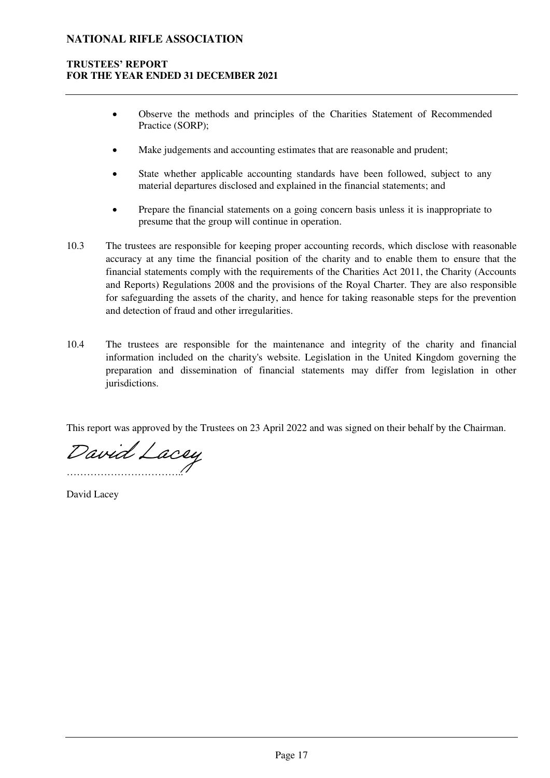### **TRUSTEES' REPORT FOR THE YEAR ENDED 31 DECEMBER 2021**

- Observe the methods and principles of the Charities Statement of Recommended Practice (SORP);
- Make judgements and accounting estimates that are reasonable and prudent;
- State whether applicable accounting standards have been followed, subject to any material departures disclosed and explained in the financial statements; and
- Prepare the financial statements on a going concern basis unless it is inappropriate to presume that the group will continue in operation.
- 10.3 The trustees are responsible for keeping proper accounting records, which disclose with reasonable accuracy at any time the financial position of the charity and to enable them to ensure that the financial statements comply with the requirements of the Charities Act 2011, the Charity (Accounts and Reports) Regulations 2008 and the provisions of the Royal Charter. They are also responsible for safeguarding the assets of the charity, and hence for taking reasonable steps for the prevention and detection of fraud and other irregularities.
- 10.4 The trustees are responsible for the maintenance and integrity of the charity and financial information included on the charity's website. Legislation in the United Kingdom governing the preparation and dissemination of financial statements may differ from legislation in other jurisdictions.

This report was approved by the Trustees on 23 April 2022 and was signed on their behalf by the Chairman.

…………………………….. [David Lacey](https://haysmacintyre.eu1.adobesign.com/verifier?tx=CBJCHBCAABAA-DDmeZYKjM0QrPSsoDuOARcAlZUfmLIg)

David Lacey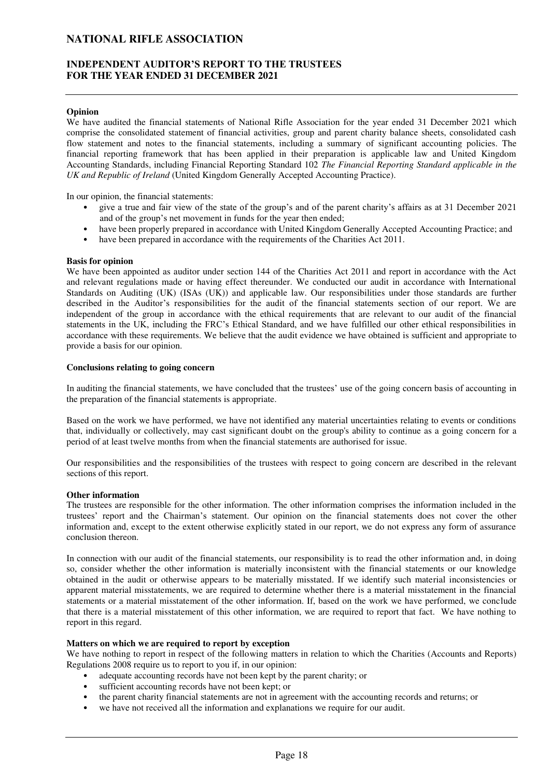#### **INDEPENDENT AUDITOR'S REPORT TO THE TRUSTEES FOR THE YEAR ENDED 31 DECEMBER 2021**

#### **Opinion**

We have audited the financial statements of National Rifle Association for the year ended 31 December 2021 which comprise the consolidated statement of financial activities, group and parent charity balance sheets, consolidated cash flow statement and notes to the financial statements, including a summary of significant accounting policies. The financial reporting framework that has been applied in their preparation is applicable law and United Kingdom Accounting Standards, including Financial Reporting Standard 102 *The Financial Reporting Standard applicable in the UK and Republic of Ireland* (United Kingdom Generally Accepted Accounting Practice).

In our opinion, the financial statements:

- give a true and fair view of the state of the group's and of the parent charity's affairs as at 31 December 2021 and of the group's net movement in funds for the year then ended;
- have been properly prepared in accordance with United Kingdom Generally Accepted Accounting Practice; and
- have been prepared in accordance with the requirements of the Charities Act 2011.

#### **Basis for opinion**

We have been appointed as auditor under section 144 of the Charities Act 2011 and report in accordance with the Act and relevant regulations made or having effect thereunder. We conducted our audit in accordance with International Standards on Auditing (UK) (ISAs (UK)) and applicable law. Our responsibilities under those standards are further described in the Auditor's responsibilities for the audit of the financial statements section of our report. We are independent of the group in accordance with the ethical requirements that are relevant to our audit of the financial statements in the UK, including the FRC's Ethical Standard, and we have fulfilled our other ethical responsibilities in accordance with these requirements. We believe that the audit evidence we have obtained is sufficient and appropriate to provide a basis for our opinion.

#### **Conclusions relating to going concern**

In auditing the financial statements, we have concluded that the trustees' use of the going concern basis of accounting in the preparation of the financial statements is appropriate.

Based on the work we have performed, we have not identified any material uncertainties relating to events or conditions that, individually or collectively, may cast significant doubt on the group's ability to continue as a going concern for a period of at least twelve months from when the financial statements are authorised for issue.

Our responsibilities and the responsibilities of the trustees with respect to going concern are described in the relevant sections of this report.

#### **Other information**

The trustees are responsible for the other information. The other information comprises the information included in the trustees' report and the Chairman's statement. Our opinion on the financial statements does not cover the other information and, except to the extent otherwise explicitly stated in our report, we do not express any form of assurance conclusion thereon.

In connection with our audit of the financial statements, our responsibility is to read the other information and, in doing so, consider whether the other information is materially inconsistent with the financial statements or our knowledge obtained in the audit or otherwise appears to be materially misstated. If we identify such material inconsistencies or apparent material misstatements, we are required to determine whether there is a material misstatement in the financial statements or a material misstatement of the other information. If, based on the work we have performed, we conclude that there is a material misstatement of this other information, we are required to report that fact. We have nothing to report in this regard.

#### **Matters on which we are required to report by exception**

We have nothing to report in respect of the following matters in relation to which the Charities (Accounts and Reports) Regulations 2008 require us to report to you if, in our opinion:

- adequate accounting records have not been kept by the parent charity; or
- sufficient accounting records have not been kept; or
- the parent charity financial statements are not in agreement with the accounting records and returns; or
- we have not received all the information and explanations we require for our audit.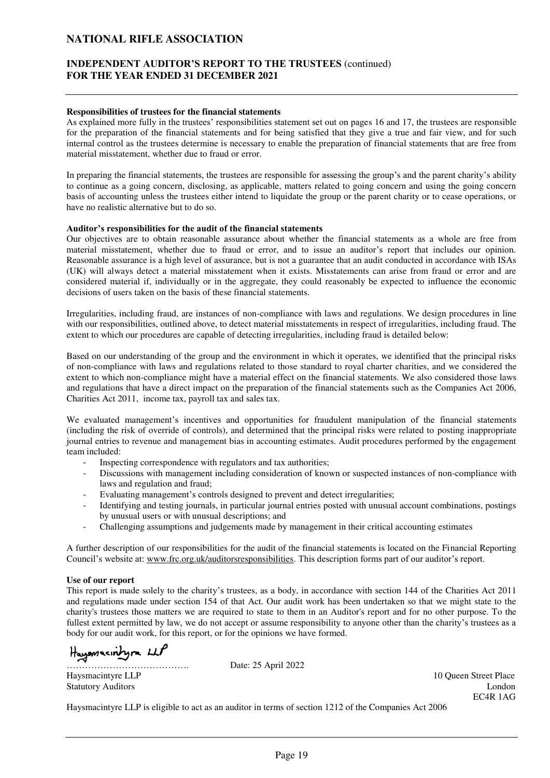### **INDEPENDENT AUDITOR'S REPORT TO THE TRUSTEES** (continued) **FOR THE YEAR ENDED 31 DECEMBER 2021**

#### **Responsibilities of trustees for the financial statements**

As explained more fully in the trustees' responsibilities statement set out on pages 16 and 17, the trustees are responsible for the preparation of the financial statements and for being satisfied that they give a true and fair view, and for such internal control as the trustees determine is necessary to enable the preparation of financial statements that are free from material misstatement, whether due to fraud or error.

In preparing the financial statements, the trustees are responsible for assessing the group's and the parent charity's ability to continue as a going concern, disclosing, as applicable, matters related to going concern and using the going concern basis of accounting unless the trustees either intend to liquidate the group or the parent charity or to cease operations, or have no realistic alternative but to do so.

#### **Auditor's responsibilities for the audit of the financial statements**

Our objectives are to obtain reasonable assurance about whether the financial statements as a whole are free from material misstatement, whether due to fraud or error, and to issue an auditor's report that includes our opinion. Reasonable assurance is a high level of assurance, but is not a guarantee that an audit conducted in accordance with ISAs (UK) will always detect a material misstatement when it exists. Misstatements can arise from fraud or error and are considered material if, individually or in the aggregate, they could reasonably be expected to influence the economic decisions of users taken on the basis of these financial statements.

Irregularities, including fraud, are instances of non-compliance with laws and regulations. We design procedures in line with our responsibilities, outlined above, to detect material misstatements in respect of irregularities, including fraud. The extent to which our procedures are capable of detecting irregularities, including fraud is detailed below:

Based on our understanding of the group and the environment in which it operates, we identified that the principal risks of non-compliance with laws and regulations related to those standard to royal charter charities, and we considered the extent to which non-compliance might have a material effect on the financial statements. We also considered those laws and regulations that have a direct impact on the preparation of the financial statements such as the Companies Act 2006, Charities Act 2011, income tax, payroll tax and sales tax.

We evaluated management's incentives and opportunities for fraudulent manipulation of the financial statements (including the risk of override of controls), and determined that the principal risks were related to posting inappropriate journal entries to revenue and management bias in accounting estimates. Audit procedures performed by the engagement team included:

- Inspecting correspondence with regulators and tax authorities;
- Discussions with management including consideration of known or suspected instances of non-compliance with laws and regulation and fraud;
- Evaluating management's controls designed to prevent and detect irregularities;
- Identifying and testing journals, in particular journal entries posted with unusual account combinations, postings by unusual users or with unusual descriptions; and
- Challenging assumptions and judgements made by management in their critical accounting estimates

A further description of our responsibilities for the audit of the financial statements is located on the Financial Reporting Council's website at: [www.frc.org.uk/auditorsresponsibilities](http://www.frc.org.uk/auditorsresponsibilities). This description forms part of our auditor's report.

#### **Use of our report**

This report is made solely to the charity's trustees, as a body, in accordance with section 144 of the Charities Act 2011 and regulations made under section 154 of that Act. Our audit work has been undertaken so that we might state to the charity's trustees those matters we are required to state to them in an Auditor's report and for no other purpose. To the fullest extent permitted by law, we do not accept or assume responsibility to anyone other than the charity's trustees as a body for our audit work, for this report, or for the opinions we have formed.

Hayomacintyra LLP

Date: 25 April 2022

Haysmacintyre LLP 10 Queen Street Place Statutory Auditors London<br>
EC4R 1AG EC4R 1AG

Haysmacintyre LLP is eligible to act as an auditor in terms of section 1212 of the Companies Act 2006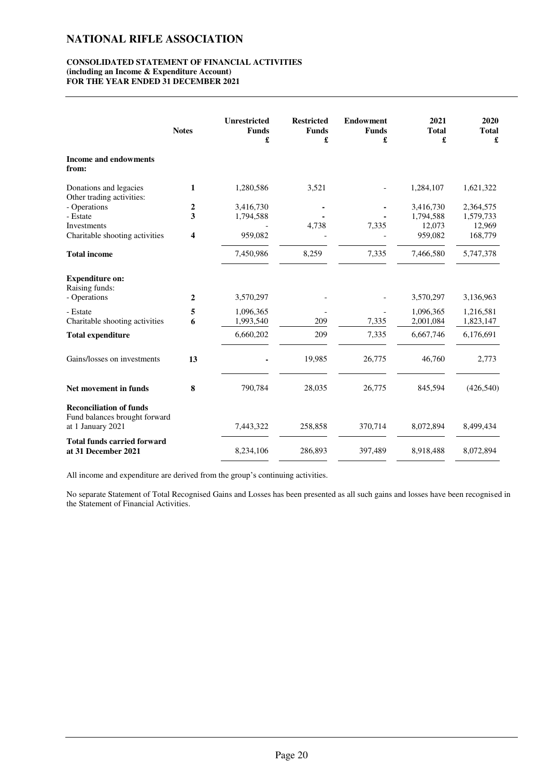#### **CONSOLIDATED STATEMENT OF FINANCIAL ACTIVITIES (including an Income & Expenditure Account) FOR THE YEAR ENDED 31 DECEMBER 2021**

|                                                                                      | <b>Notes</b>     | <b>Unrestricted</b><br><b>Funds</b><br>£ | <b>Restricted</b><br><b>Funds</b><br>£ | <b>Endowment</b><br><b>Funds</b><br>£ | 2021<br><b>Total</b><br>£ | 2020<br><b>Total</b><br>£ |
|--------------------------------------------------------------------------------------|------------------|------------------------------------------|----------------------------------------|---------------------------------------|---------------------------|---------------------------|
| <b>Income and endowments</b><br>from:                                                |                  |                                          |                                        |                                       |                           |                           |
| Donations and legacies<br>Other trading activities:                                  | 1                | 1,280,586                                | 3,521                                  |                                       | 1,284,107                 | 1,621,322                 |
| - Operations                                                                         | $\boldsymbol{2}$ | 3,416,730                                |                                        |                                       | 3,416,730                 | 2,364,575                 |
| - Estate                                                                             | 3                | 1,794,588                                |                                        |                                       | 1,794,588                 | 1,579,733                 |
| Investments                                                                          |                  |                                          | 4,738                                  | 7,335                                 | 12,073                    | 12,969                    |
| Charitable shooting activities                                                       | 4                | 959,082                                  |                                        |                                       | 959,082                   | 168,779                   |
| <b>Total income</b>                                                                  |                  | 7,450,986                                | 8,259                                  | 7,335                                 | 7,466,580                 | 5,747,378                 |
| <b>Expenditure on:</b><br>Raising funds:<br>- Operations                             | 2                | 3,570,297                                |                                        |                                       | 3,570,297                 | 3,136,963                 |
|                                                                                      |                  |                                          |                                        |                                       |                           |                           |
| - Estate                                                                             | 5                | 1,096,365                                |                                        |                                       | 1,096,365                 | 1,216,581                 |
| Charitable shooting activities                                                       | 6                | 1,993,540                                | 209                                    | 7,335                                 | 2,001,084                 | 1,823,147                 |
| <b>Total expenditure</b>                                                             |                  | 6,660,202                                | 209                                    | 7,335                                 | 6,667,746                 | 6,176,691                 |
| Gains/losses on investments                                                          | 13               |                                          | 19,985                                 | 26,775                                | 46,760                    | 2,773                     |
| Net movement in funds                                                                | 8                | 790,784                                  | 28,035                                 | 26,775                                | 845,594                   | (426,540)                 |
| <b>Reconciliation of funds</b><br>Fund balances brought forward<br>at 1 January 2021 |                  | 7,443,322                                | 258,858                                | 370,714                               | 8,072,894                 | 8,499,434                 |
|                                                                                      |                  |                                          |                                        |                                       |                           |                           |
| <b>Total funds carried forward</b><br>at 31 December 2021                            |                  | 8,234,106                                | 286,893                                | 397,489                               | 8,918,488                 | 8,072,894                 |

All income and expenditure are derived from the group's continuing activities.

No separate Statement of Total Recognised Gains and Losses has been presented as all such gains and losses have been recognised in the Statement of Financial Activities.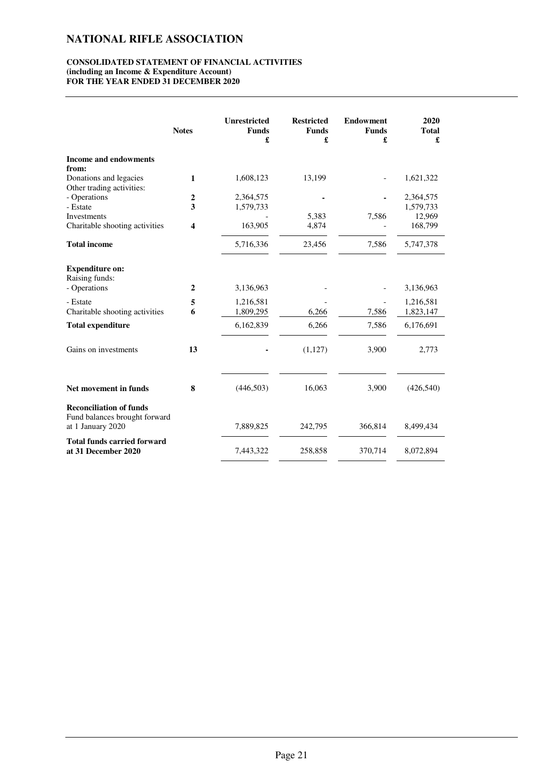#### **CONSOLIDATED STATEMENT OF FINANCIAL ACTIVITIES (including an Income & Expenditure Account) FOR THE YEAR ENDED 31 DECEMBER 2020**

|                                                                                      | <b>Notes</b>     | <b>Unrestricted</b><br><b>Funds</b><br>£ | <b>Restricted</b><br><b>Funds</b><br>£ | <b>Endowment</b><br><b>Funds</b><br>£ | 2020<br><b>Total</b><br>£ |
|--------------------------------------------------------------------------------------|------------------|------------------------------------------|----------------------------------------|---------------------------------------|---------------------------|
| <b>Income and endowments</b><br>from:                                                |                  |                                          |                                        |                                       |                           |
| Donations and legacies<br>Other trading activities:                                  | 1                | 1,608,123                                | 13,199                                 |                                       | 1,621,322                 |
| - Operations                                                                         | $\boldsymbol{2}$ | 2,364,575                                |                                        |                                       | 2,364,575                 |
| - Estate                                                                             | 3                | 1,579,733                                |                                        |                                       | 1,579,733                 |
| Investments                                                                          |                  |                                          | 5,383                                  | 7,586                                 | 12,969                    |
| Charitable shooting activities                                                       | 4                | 163,905                                  | 4,874                                  |                                       | 168,799                   |
| <b>Total income</b>                                                                  |                  | 5,716,336                                | 23,456                                 | 7,586                                 | 5,747,378                 |
| <b>Expenditure on:</b><br>Raising funds:                                             |                  |                                          |                                        |                                       |                           |
| - Operations                                                                         | $\overline{2}$   | 3,136,963                                |                                        |                                       | 3,136,963                 |
| - Estate                                                                             | 5                | 1,216,581                                |                                        |                                       | 1,216,581                 |
| Charitable shooting activities                                                       | 6                | 1,809,295                                | 6,266                                  | 7,586                                 | 1,823,147                 |
| <b>Total expenditure</b>                                                             |                  | 6,162,839                                | 6,266                                  | 7,586                                 | 6,176,691                 |
| Gains on investments                                                                 | 13               |                                          | (1,127)                                | 3,900                                 | 2,773                     |
| Net movement in funds                                                                | 8                | (446, 503)                               | 16,063                                 | 3,900                                 | (426,540)                 |
| <b>Reconciliation of funds</b><br>Fund balances brought forward<br>at 1 January 2020 |                  | 7,889,825                                | 242,795                                | 366,814                               | 8,499,434                 |
| <b>Total funds carried forward</b><br>at 31 December 2020                            |                  | 7,443,322                                | 258,858                                | 370,714                               | 8,072,894                 |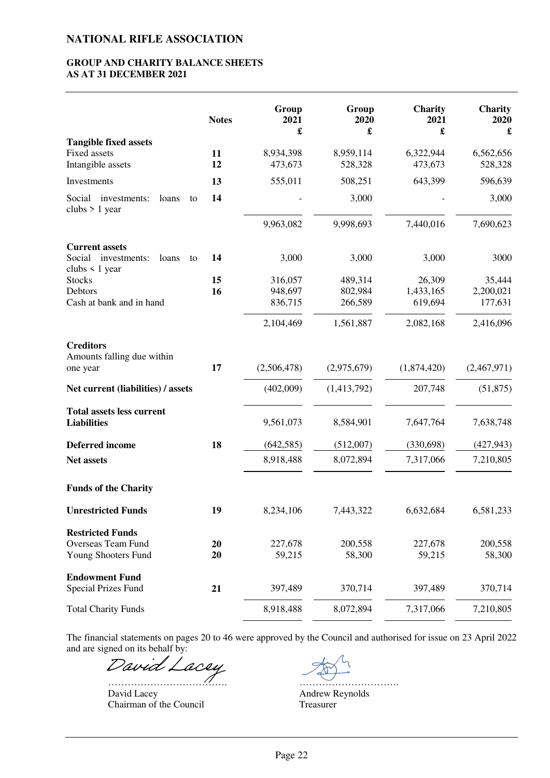#### **GROUP AND CHARITY BALANCE SHEETS AS AT 31 DECEMBER 2021**

|                                                              | <b>Notes</b> | Group<br>2021<br>£ | Group<br>2020<br>£ | Charity<br>2021<br>£ | Charity<br>2020<br>£ |
|--------------------------------------------------------------|--------------|--------------------|--------------------|----------------------|----------------------|
| <b>Tangible fixed assets</b>                                 |              |                    |                    |                      |                      |
| <b>Fixed assets</b>                                          | 11           | 8,934,398          | 8,959,114          | 6,322,944            | 6,562,656            |
| Intangible assets                                            | 12           | 473,673            | 528,328            | 473,673              | 528,328              |
| Investments                                                  | 13           | 555,011            | 508,251            | 643,399              | 596,639              |
| Social investments:<br>loans<br>to<br>clubs $> 1$ year       | 14           |                    | 3,000              |                      | 3,000                |
|                                                              |              | 9,963,082          | 9,998,693          | 7,440,016            | 7,690,623            |
| <b>Current assets</b>                                        |              |                    |                    |                      |                      |
| Social<br>investments:<br>loans<br>to<br>clubs $\leq 1$ year | 14           | 3,000              | 3,000              | 3,000                | 3000                 |
| <b>Stocks</b>                                                | 15           | 316,057            | 489,314            | 26,309               | 35,444               |
| Debtors<br>Cash at bank and in hand                          | 16           | 948,697            | 802,984            | 1,433,165            | 2,200,021            |
|                                                              |              | 836,715            | 266,589            | 619,694              | 177,631              |
|                                                              |              | 2,104,469          | 1,561,887          | 2,082,168            | 2,416,096            |
| <b>Creditors</b>                                             |              |                    |                    |                      |                      |
| Amounts falling due within<br>one year                       | 17           | (2,506,478)        | (2,975,679)        | (1,874,420)          | (2,467,971)          |
| Net current (liabilities) / assets                           |              | (402,009)          | (1,413,792)        | 207,748              | (51, 875)            |
| <b>Total assets less current</b><br><b>Liabilities</b>       |              | 9,561,073          | 8,584,901          | 7,647,764            | 7,638,748            |
| <b>Deferred</b> income                                       | 18           | (642, 585)         | (512,007)          | (330,698)            | (427, 943)           |
| Net assets                                                   |              | 8,918,488          | 8,072,894          | 7,317,066            | 7,210,805            |
| <b>Funds of the Charity</b>                                  |              |                    |                    |                      |                      |
| <b>Unrestricted Funds</b>                                    | 19           | 8,234,106          | 7,443,322          | 6,632,684            | 6,581,233            |
| <b>Restricted Funds</b>                                      |              |                    |                    |                      |                      |
| Overseas Team Fund                                           | 20           | 227,678            | 200,558            | 227,678              | 200,558              |
| Young Shooters Fund                                          | 20           | 59,215             | 58,300             | 59,215               | 58,300               |
| <b>Endowment Fund</b><br><b>Special Prizes Fund</b>          | 21           | 397,489            | 370,714            | 397,489              | 370,714              |
| <b>Total Charity Funds</b>                                   |              | 8,918,488          | 8,072,894          | 7,317,066            | 7,210,805            |

The financial statements on pages 20 to 46 were approved by the Council and authorised for issue on 23 April 2022 and are signed on its behalf by:

[David Lacey](https://haysmacintyre.eu1.adobesign.com/verifier?tx=CBJCHBCAABAA-DDmeZYKjM0QrPSsoDuOARcAlZUfmLIg)

………………………………. [………………………….](https://haysmacintyre.eu1.adobesign.com/verifier?tx=CBJCHBCAABAA-DDmeZYKjM0QrPSsoDuOARcAlZUfmLIg) Chairman of the Council Treasurer

Andrew Reynolds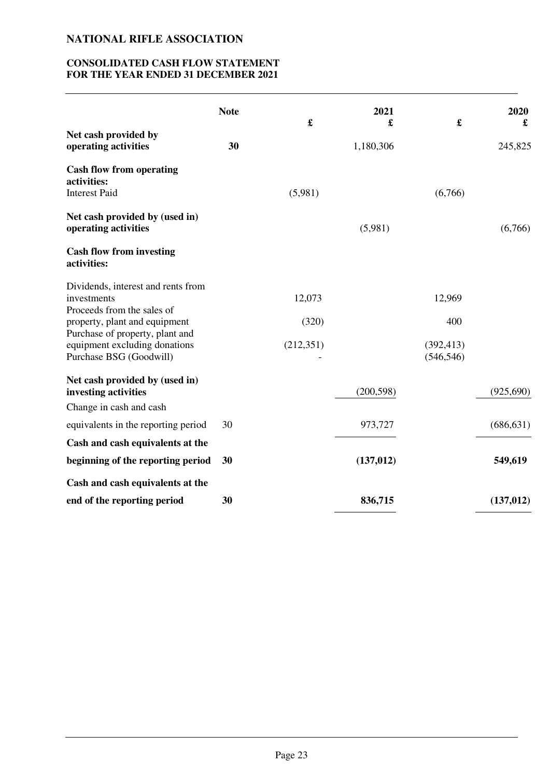### **CONSOLIDATED CASH FLOW STATEMENT FOR THE YEAR ENDED 31 DECEMBER 2021**

|                                                                                             | <b>Note</b> | $\pmb{\mathfrak{L}}$ | 2021<br>£  | £                        | 2020<br>£  |
|---------------------------------------------------------------------------------------------|-------------|----------------------|------------|--------------------------|------------|
| Net cash provided by<br>operating activities                                                | 30          |                      | 1,180,306  |                          | 245,825    |
| <b>Cash flow from operating</b><br>activities:<br><b>Interest Paid</b>                      |             | (5,981)              |            | (6,766)                  |            |
| Net cash provided by (used in)<br>operating activities                                      |             |                      | (5,981)    |                          | (6,766)    |
| <b>Cash flow from investing</b><br>activities:                                              |             |                      |            |                          |            |
| Dividends, interest and rents from<br>investments<br>Proceeds from the sales of             |             | 12,073               |            | 12,969                   |            |
| property, plant and equipment                                                               |             | (320)                |            | 400                      |            |
| Purchase of property, plant and<br>equipment excluding donations<br>Purchase BSG (Goodwill) |             | (212,351)            |            | (392, 413)<br>(546, 546) |            |
| Net cash provided by (used in)<br>investing activities                                      |             |                      | (200, 598) |                          | (925,690)  |
| Change in cash and cash                                                                     |             |                      |            |                          |            |
| equivalents in the reporting period                                                         | 30          |                      | 973,727    |                          | (686, 631) |
| Cash and cash equivalents at the                                                            |             |                      |            |                          |            |
| beginning of the reporting period                                                           | 30          |                      | (137, 012) |                          | 549,619    |
| Cash and cash equivalents at the                                                            |             |                      |            |                          |            |
| end of the reporting period                                                                 | 30          |                      | 836,715    |                          | (137, 012) |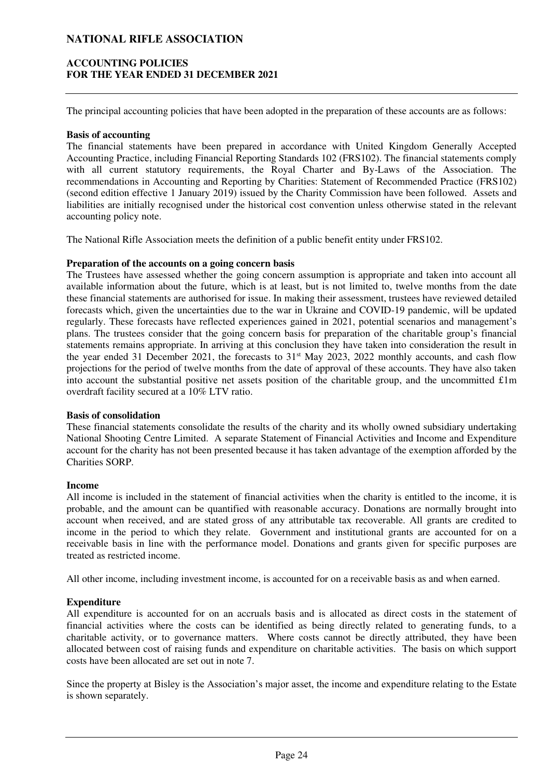### **ACCOUNTING POLICIES FOR THE YEAR ENDED 31 DECEMBER 2021**

The principal accounting policies that have been adopted in the preparation of these accounts are as follows:

#### **Basis of accounting**

The financial statements have been prepared in accordance with United Kingdom Generally Accepted Accounting Practice, including Financial Reporting Standards 102 (FRS102). The financial statements comply with all current statutory requirements, the Royal Charter and By-Laws of the Association. The recommendations in Accounting and Reporting by Charities: Statement of Recommended Practice (FRS102) (second edition effective 1 January 2019) issued by the Charity Commission have been followed. Assets and liabilities are initially recognised under the historical cost convention unless otherwise stated in the relevant accounting policy note.

The National Rifle Association meets the definition of a public benefit entity under FRS102.

### **Preparation of the accounts on a going concern basis**

The Trustees have assessed whether the going concern assumption is appropriate and taken into account all available information about the future, which is at least, but is not limited to, twelve months from the date these financial statements are authorised for issue. In making their assessment, trustees have reviewed detailed forecasts which, given the uncertainties due to the war in Ukraine and COVID-19 pandemic, will be updated regularly. These forecasts have reflected experiences gained in 2021, potential scenarios and management's plans. The trustees consider that the going concern basis for preparation of the charitable group's financial statements remains appropriate. In arriving at this conclusion they have taken into consideration the result in the year ended 31 December 2021, the forecasts to  $31<sup>st</sup>$  May 2023, 2022 monthly accounts, and cash flow projections for the period of twelve months from the date of approval of these accounts. They have also taken into account the substantial positive net assets position of the charitable group, and the uncommitted £1m overdraft facility secured at a 10% LTV ratio.

#### **Basis of consolidation**

These financial statements consolidate the results of the charity and its wholly owned subsidiary undertaking National Shooting Centre Limited. A separate Statement of Financial Activities and Income and Expenditure account for the charity has not been presented because it has taken advantage of the exemption afforded by the Charities SORP.

#### **Income**

All income is included in the statement of financial activities when the charity is entitled to the income, it is probable, and the amount can be quantified with reasonable accuracy. Donations are normally brought into account when received, and are stated gross of any attributable tax recoverable. All grants are credited to income in the period to which they relate. Government and institutional grants are accounted for on a receivable basis in line with the performance model. Donations and grants given for specific purposes are treated as restricted income.

All other income, including investment income, is accounted for on a receivable basis as and when earned.

### **Expenditure**

All expenditure is accounted for on an accruals basis and is allocated as direct costs in the statement of financial activities where the costs can be identified as being directly related to generating funds, to a charitable activity, or to governance matters. Where costs cannot be directly attributed, they have been allocated between cost of raising funds and expenditure on charitable activities. The basis on which support costs have been allocated are set out in note 7.

Since the property at Bisley is the Association's major asset, the income and expenditure relating to the Estate is shown separately.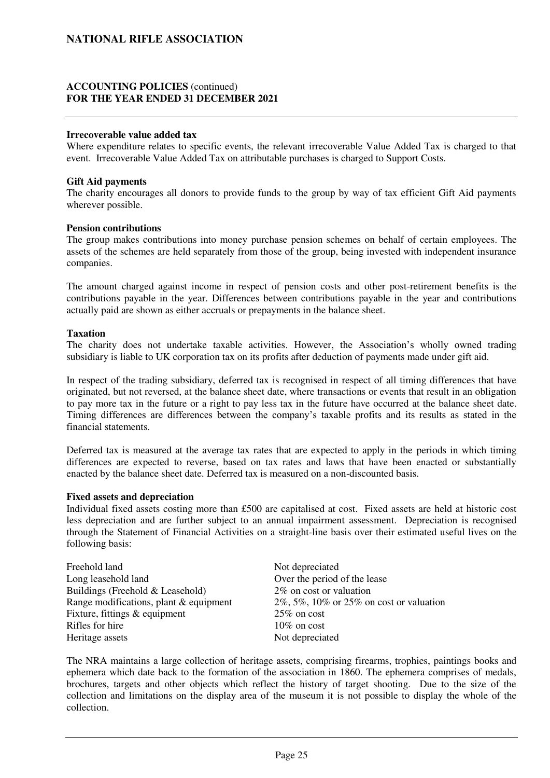### **ACCOUNTING POLICIES** (continued) **FOR THE YEAR ENDED 31 DECEMBER 2021**

#### **Irrecoverable value added tax**

Where expenditure relates to specific events, the relevant irrecoverable Value Added Tax is charged to that event. Irrecoverable Value Added Tax on attributable purchases is charged to Support Costs.

#### **Gift Aid payments**

The charity encourages all donors to provide funds to the group by way of tax efficient Gift Aid payments wherever possible.

#### **Pension contributions**

The group makes contributions into money purchase pension schemes on behalf of certain employees. The assets of the schemes are held separately from those of the group, being invested with independent insurance companies.

The amount charged against income in respect of pension costs and other post-retirement benefits is the contributions payable in the year. Differences between contributions payable in the year and contributions actually paid are shown as either accruals or prepayments in the balance sheet.

#### **Taxation**

The charity does not undertake taxable activities. However, the Association's wholly owned trading subsidiary is liable to UK corporation tax on its profits after deduction of payments made under gift aid.

In respect of the trading subsidiary, deferred tax is recognised in respect of all timing differences that have originated, but not reversed, at the balance sheet date, where transactions or events that result in an obligation to pay more tax in the future or a right to pay less tax in the future have occurred at the balance sheet date. Timing differences are differences between the company's taxable profits and its results as stated in the financial statements.

Deferred tax is measured at the average tax rates that are expected to apply in the periods in which timing differences are expected to reverse, based on tax rates and laws that have been enacted or substantially enacted by the balance sheet date. Deferred tax is measured on a non-discounted basis.

#### **Fixed assets and depreciation**

Individual fixed assets costing more than £500 are capitalised at cost. Fixed assets are held at historic cost less depreciation and are further subject to an annual impairment assessment. Depreciation is recognised through the Statement of Financial Activities on a straight-line basis over their estimated useful lives on the following basis:

| Not depreciated                                 |
|-------------------------------------------------|
| Over the period of the lease                    |
| 2% on cost or valuation                         |
| $2\%, 5\%, 10\%$ or $25\%$ on cost or valuation |
| $25\%$ on cost                                  |
| $10\%$ on cost                                  |
| Not depreciated                                 |
|                                                 |

The NRA maintains a large collection of heritage assets, comprising firearms, trophies, paintings books and ephemera which date back to the formation of the association in 1860. The ephemera comprises of medals, brochures, targets and other objects which reflect the history of target shooting. Due to the size of the collection and limitations on the display area of the museum it is not possible to display the whole of the collection.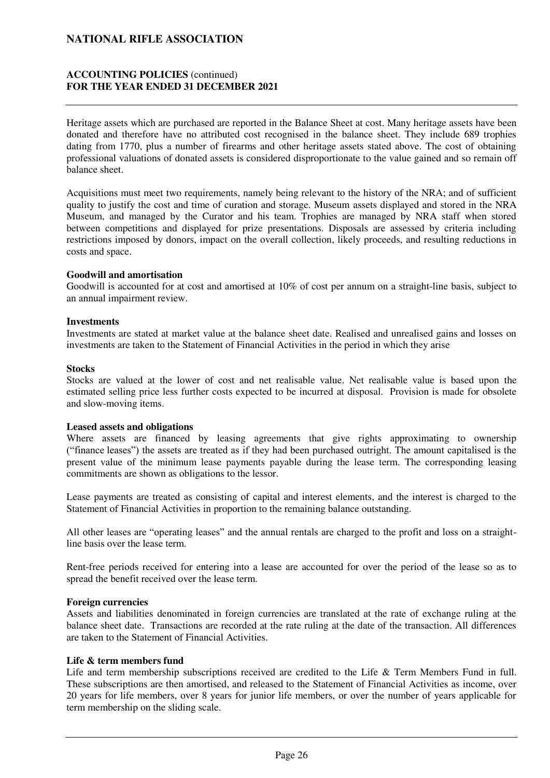### **ACCOUNTING POLICIES** (continued) **FOR THE YEAR ENDED 31 DECEMBER 2021**

Heritage assets which are purchased are reported in the Balance Sheet at cost. Many heritage assets have been donated and therefore have no attributed cost recognised in the balance sheet. They include 689 trophies dating from 1770, plus a number of firearms and other heritage assets stated above. The cost of obtaining professional valuations of donated assets is considered disproportionate to the value gained and so remain off balance sheet.

Acquisitions must meet two requirements, namely being relevant to the history of the NRA; and of sufficient quality to justify the cost and time of curation and storage. Museum assets displayed and stored in the NRA Museum, and managed by the Curator and his team. Trophies are managed by NRA staff when stored between competitions and displayed for prize presentations. Disposals are assessed by criteria including restrictions imposed by donors, impact on the overall collection, likely proceeds, and resulting reductions in costs and space.

#### **Goodwill and amortisation**

Goodwill is accounted for at cost and amortised at 10% of cost per annum on a straight-line basis, subject to an annual impairment review.

#### **Investments**

Investments are stated at market value at the balance sheet date. Realised and unrealised gains and losses on investments are taken to the Statement of Financial Activities in the period in which they arise

#### **Stocks**

Stocks are valued at the lower of cost and net realisable value. Net realisable value is based upon the estimated selling price less further costs expected to be incurred at disposal. Provision is made for obsolete and slow-moving items.

#### **Leased assets and obligations**

Where assets are financed by leasing agreements that give rights approximating to ownership ("finance leases") the assets are treated as if they had been purchased outright. The amount capitalised is the present value of the minimum lease payments payable during the lease term. The corresponding leasing commitments are shown as obligations to the lessor.

Lease payments are treated as consisting of capital and interest elements, and the interest is charged to the Statement of Financial Activities in proportion to the remaining balance outstanding.

All other leases are "operating leases" and the annual rentals are charged to the profit and loss on a straightline basis over the lease term.

Rent-free periods received for entering into a lease are accounted for over the period of the lease so as to spread the benefit received over the lease term.

#### **Foreign currencies**

Assets and liabilities denominated in foreign currencies are translated at the rate of exchange ruling at the balance sheet date. Transactions are recorded at the rate ruling at the date of the transaction. All differences are taken to the Statement of Financial Activities.

#### **Life & term members fund**

Life and term membership subscriptions received are credited to the Life & Term Members Fund in full. These subscriptions are then amortised, and released to the Statement of Financial Activities as income, over 20 years for life members, over 8 years for junior life members, or over the number of years applicable for term membership on the sliding scale.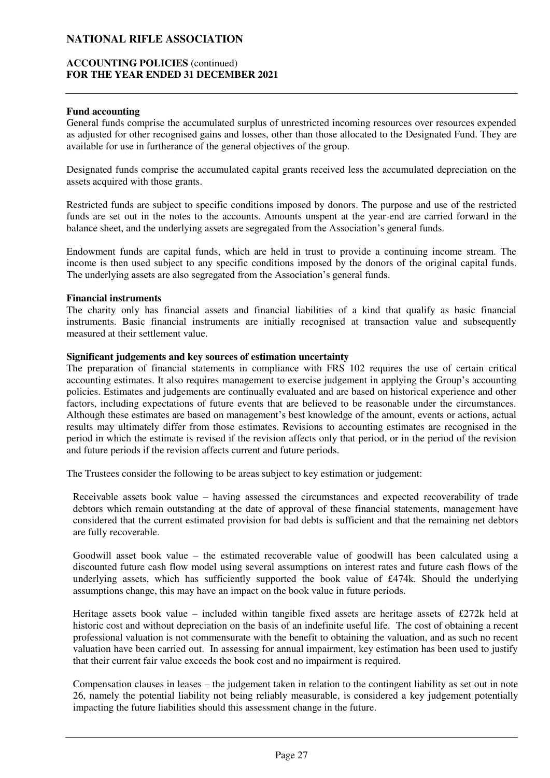#### **ACCOUNTING POLICIES** (continued) **FOR THE YEAR ENDED 31 DECEMBER 2021**

#### **Fund accounting**

General funds comprise the accumulated surplus of unrestricted incoming resources over resources expended as adjusted for other recognised gains and losses, other than those allocated to the Designated Fund. They are available for use in furtherance of the general objectives of the group.

Designated funds comprise the accumulated capital grants received less the accumulated depreciation on the assets acquired with those grants.

Restricted funds are subject to specific conditions imposed by donors. The purpose and use of the restricted funds are set out in the notes to the accounts. Amounts unspent at the year-end are carried forward in the balance sheet, and the underlying assets are segregated from the Association's general funds.

Endowment funds are capital funds, which are held in trust to provide a continuing income stream. The income is then used subject to any specific conditions imposed by the donors of the original capital funds. The underlying assets are also segregated from the Association's general funds.

#### **Financial instruments**

The charity only has financial assets and financial liabilities of a kind that qualify as basic financial instruments. Basic financial instruments are initially recognised at transaction value and subsequently measured at their settlement value.

### **Significant judgements and key sources of estimation uncertainty**

The preparation of financial statements in compliance with FRS 102 requires the use of certain critical accounting estimates. It also requires management to exercise judgement in applying the Group's accounting policies. Estimates and judgements are continually evaluated and are based on historical experience and other factors, including expectations of future events that are believed to be reasonable under the circumstances. Although these estimates are based on management's best knowledge of the amount, events or actions, actual results may ultimately differ from those estimates. Revisions to accounting estimates are recognised in the period in which the estimate is revised if the revision affects only that period, or in the period of the revision and future periods if the revision affects current and future periods.

The Trustees consider the following to be areas subject to key estimation or judgement:

Receivable assets book value – having assessed the circumstances and expected recoverability of trade debtors which remain outstanding at the date of approval of these financial statements, management have considered that the current estimated provision for bad debts is sufficient and that the remaining net debtors are fully recoverable.

Goodwill asset book value – the estimated recoverable value of goodwill has been calculated using a discounted future cash flow model using several assumptions on interest rates and future cash flows of the underlying assets, which has sufficiently supported the book value of £474k. Should the underlying assumptions change, this may have an impact on the book value in future periods.

Heritage assets book value – included within tangible fixed assets are heritage assets of £272k held at historic cost and without depreciation on the basis of an indefinite useful life. The cost of obtaining a recent professional valuation is not commensurate with the benefit to obtaining the valuation, and as such no recent valuation have been carried out. In assessing for annual impairment, key estimation has been used to justify that their current fair value exceeds the book cost and no impairment is required.

Compensation clauses in leases – the judgement taken in relation to the contingent liability as set out in note 26, namely the potential liability not being reliably measurable, is considered a key judgement potentially impacting the future liabilities should this assessment change in the future.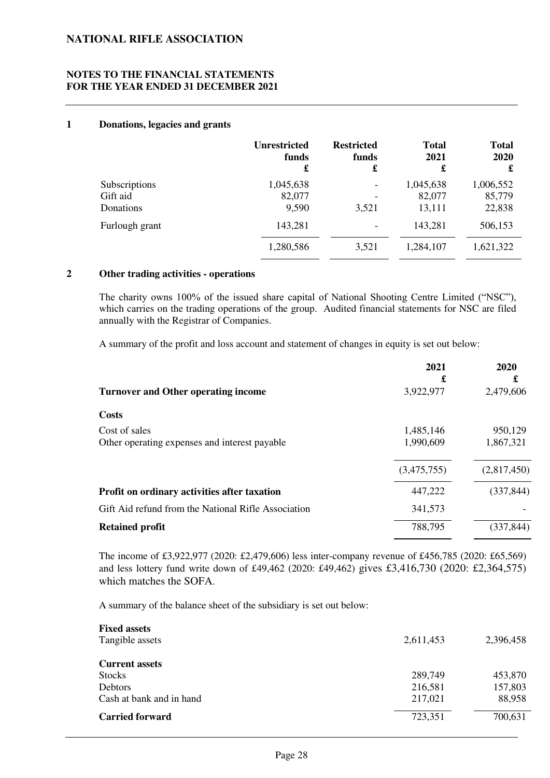### **NOTES TO THE FINANCIAL STATEMENTS FOR THE YEAR ENDED 31 DECEMBER 2021**

#### **1 Donations, legacies and grants**

|                | <b>Unrestricted</b> | <b>Restricted</b>        | <b>Total</b> | <b>Total</b> |
|----------------|---------------------|--------------------------|--------------|--------------|
|                | funds               | funds                    | 2021         | 2020         |
|                | £                   | £                        | £            | £            |
| Subscriptions  | 1,045,638           | $\overline{\phantom{a}}$ | 1,045,638    | 1,006,552    |
| Gift aid       | 82,077              | $\qquad \qquad$          | 82,077       | 85,779       |
| Donations      | 9,590               | 3,521                    | 13,111       | 22,838       |
| Furlough grant | 143,281             | $\overline{\phantom{a}}$ | 143,281      | 506,153      |
|                | 1,280,586           | 3,521                    | 1,284,107    | 1,621,322    |

### **2 Other trading activities - operations**

The charity owns 100% of the issued share capital of National Shooting Centre Limited ("NSC"), which carries on the trading operations of the group. Audited financial statements for NSC are filed annually with the Registrar of Companies.

A summary of the profit and loss account and statement of changes in equity is set out below:

|                                                     | 2021        | 2020        |
|-----------------------------------------------------|-------------|-------------|
|                                                     | £           | £           |
| <b>Turnover and Other operating income</b>          | 3,922,977   | 2,479,606   |
| <b>Costs</b>                                        |             |             |
| Cost of sales                                       | 1,485,146   | 950,129     |
| Other operating expenses and interest payable       | 1,990,609   | 1,867,321   |
|                                                     | (3,475,755) | (2,817,450) |
| Profit on ordinary activities after taxation        | 447,222     | (337, 844)  |
| Gift Aid refund from the National Rifle Association | 341,573     |             |
| <b>Retained profit</b>                              | 788,795     | (337, 844)  |
|                                                     |             |             |

The income of £3,922,977 (2020: £2,479,606) less inter-company revenue of £456,785 (2020: £65,569) and less lottery fund write down of £49,462 (2020: £49,462) gives £3,416,730 (2020: £2,364,575) which matches the SOFA.

A summary of the balance sheet of the subsidiary is set out below:

| <b>Fixed assets</b>      |           |           |
|--------------------------|-----------|-----------|
| Tangible assets          | 2,611,453 | 2,396,458 |
|                          |           |           |
| <b>Current assets</b>    |           |           |
| <b>Stocks</b>            | 289,749   | 453,870   |
| Debtors                  | 216,581   | 157,803   |
| Cash at bank and in hand | 217,021   | 88,958    |
| <b>Carried forward</b>   | 723,351   | 700,631   |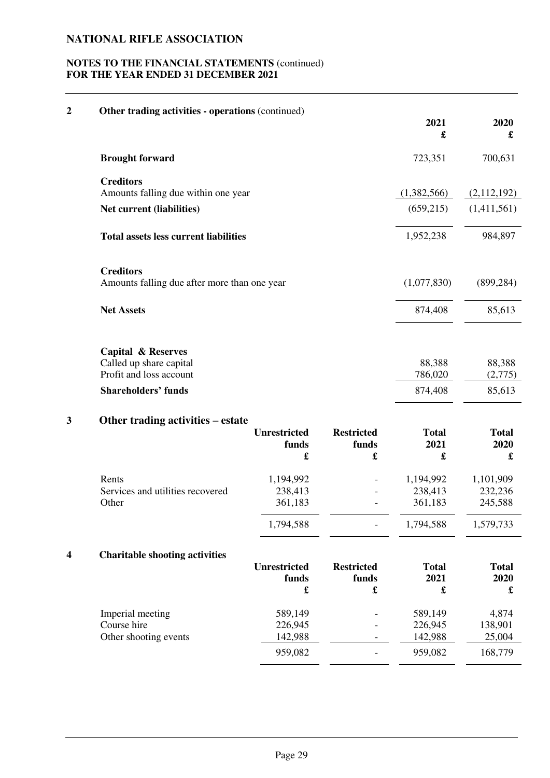### **NOTES TO THE FINANCIAL STATEMENTS** (continued) **FOR THE YEAR ENDED 31 DECEMBER 2021**

| 2 | Other trading activities - operations (continued)                                                                 |                                              |                                 | 2021<br>£                                    | 2020<br>£                                    |
|---|-------------------------------------------------------------------------------------------------------------------|----------------------------------------------|---------------------------------|----------------------------------------------|----------------------------------------------|
|   | <b>Brought forward</b>                                                                                            |                                              |                                 | 723,351                                      | 700,631                                      |
|   | <b>Creditors</b><br>Amounts falling due within one year                                                           |                                              |                                 | (1,382,566)                                  | (2,112,192)                                  |
|   | Net current (liabilities)                                                                                         |                                              |                                 | (659,215)                                    | (1,411,561)                                  |
|   | <b>Total assets less current liabilities</b>                                                                      |                                              |                                 | 1,952,238                                    | 984,897                                      |
|   | <b>Creditors</b><br>Amounts falling due after more than one year                                                  |                                              |                                 | (1,077,830)                                  | (899, 284)                                   |
|   | <b>Net Assets</b>                                                                                                 |                                              |                                 | 874,408                                      | 85,613                                       |
|   | <b>Capital &amp; Reserves</b><br>Called up share capital<br>Profit and loss account<br><b>Shareholders' funds</b> |                                              |                                 | 88,388<br>786,020<br>874,408                 | 88,388<br>(2,775)<br>85,613                  |
| 3 | Other trading activities – estate                                                                                 | <b>Unrestricted</b><br>funds<br>£            | <b>Restricted</b><br>funds<br>£ | <b>Total</b><br>2021<br>$\mathbf f$          | <b>Total</b><br>2020<br>£                    |
|   | Rents<br>Services and utilities recovered<br>Other                                                                | 1,194,992<br>238,413<br>361,183<br>1,794,588 |                                 | 1,194,992<br>238,413<br>361,183<br>1,794,588 | 1,101,909<br>232,236<br>245,588<br>1,579,733 |
| 4 | <b>Charitable shooting activities</b>                                                                             | <b>Unrestricted</b><br>funds<br>£            | <b>Restricted</b><br>funds<br>£ | <b>Total</b><br>2021<br>£                    | <b>Total</b><br>2020<br>£                    |
|   | Imperial meeting<br>Course hire<br>Other shooting events                                                          | 589,149<br>226,945<br>142,988                |                                 | 589,149<br>226,945<br>142,988                | 4,874<br>138,901<br>25,004                   |
|   |                                                                                                                   | 959,082                                      |                                 | 959,082                                      | 168,779                                      |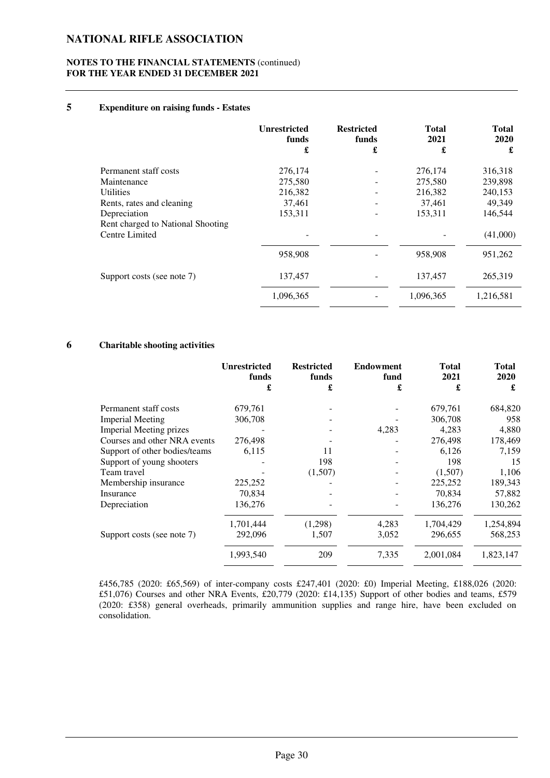#### **NOTES TO THE FINANCIAL STATEMENTS** (continued) **FOR THE YEAR ENDED 31 DECEMBER 2021**

#### **5 Expenditure on raising funds - Estates**

|                                   | <b>Unrestricted</b><br>funds<br>£ | <b>Restricted</b><br>funds<br>£ | <b>Total</b><br>2021<br>£ | <b>Total</b><br>2020<br>£ |
|-----------------------------------|-----------------------------------|---------------------------------|---------------------------|---------------------------|
| Permanent staff costs             | 276,174                           |                                 | 276,174                   | 316,318                   |
| Maintenance                       | 275,580                           |                                 | 275,580                   | 239,898                   |
| <b>Utilities</b>                  | 216,382                           |                                 | 216,382                   | 240,153                   |
| Rents, rates and cleaning         | 37,461                            |                                 | 37,461                    | 49,349                    |
| Depreciation                      | 153,311                           |                                 | 153,311                   | 146,544                   |
| Rent charged to National Shooting |                                   |                                 |                           |                           |
| Centre Limited                    |                                   | $\qquad \qquad$                 |                           | (41,000)                  |
|                                   | 958,908                           |                                 | 958,908                   | 951,262                   |
| Support costs (see note 7)        | 137,457                           |                                 | 137,457                   | 265,319                   |
|                                   | 1,096,365                         |                                 | 1,096,365                 | 1,216,581                 |

#### **6 Charitable shooting activities**

|                                | <b>Unrestricted</b><br>funds | <b>Restricted</b><br>funds | <b>Endowment</b><br>fund | <b>Total</b><br>2021 | <b>Total</b><br>2020 |
|--------------------------------|------------------------------|----------------------------|--------------------------|----------------------|----------------------|
|                                | £                            | £                          | £                        | £                    | £                    |
| Permanent staff costs          | 679,761                      |                            |                          | 679,761              | 684,820              |
| <b>Imperial Meeting</b>        | 306,708                      |                            |                          | 306,708              | 958                  |
| <b>Imperial Meeting prizes</b> |                              |                            | 4,283                    | 4,283                | 4,880                |
| Courses and other NRA events   | 276,498                      |                            |                          | 276,498              | 178,469              |
| Support of other bodies/teams  | 6,115                        | 11                         |                          | 6,126                | 7,159                |
| Support of young shooters      |                              | 198                        |                          | 198                  | 15                   |
| Team travel                    |                              | (1,507)                    |                          | (1,507)              | 1,106                |
| Membership insurance           | 225,252                      |                            |                          | 225,252              | 189,343              |
| Insurance                      | 70,834                       |                            |                          | 70,834               | 57,882               |
| Depreciation                   | 136,276                      |                            |                          | 136,276              | 130,262              |
|                                | 1,701,444                    | (1,298)                    | 4,283                    | 1,704,429            | 1,254,894            |
| Support costs (see note 7)     | 292,096                      | 1,507                      | 3,052                    | 296,655              | 568,253              |
|                                | 1,993,540                    | 209                        | 7,335                    | 2,001,084            | 1,823,147            |

£456,785 (2020: £65,569) of inter-company costs £247,401 (2020: £0) Imperial Meeting, £188,026 (2020: £51,076) Courses and other NRA Events, £20,779 (2020: £14,135) Support of other bodies and teams, £579 (2020: £358) general overheads, primarily ammunition supplies and range hire, have been excluded on consolidation.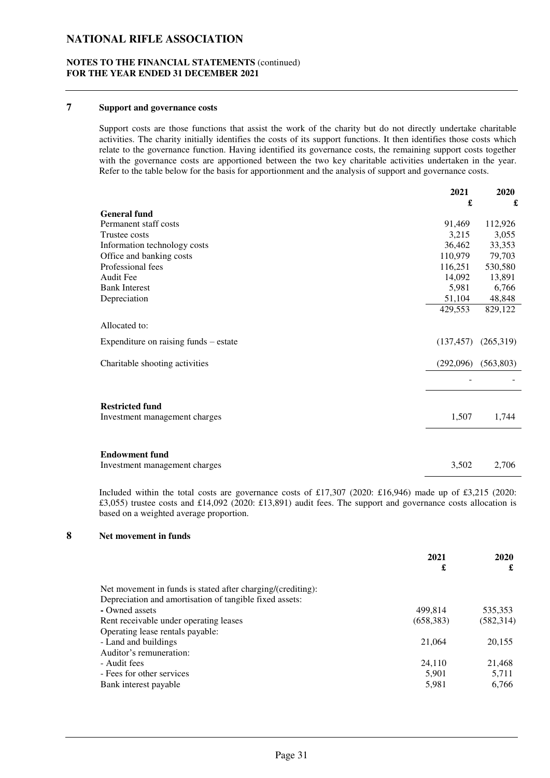#### **NOTES TO THE FINANCIAL STATEMENTS** (continued) **FOR THE YEAR ENDED 31 DECEMBER 2021**

#### **7 Support and governance costs**

Support costs are those functions that assist the work of the charity but do not directly undertake charitable activities. The charity initially identifies the costs of its support functions. It then identifies those costs which relate to the governance function. Having identified its governance costs, the remaining support costs together with the governance costs are apportioned between the two key charitable activities undertaken in the year. Refer to the table below for the basis for apportionment and the analysis of support and governance costs.

|                                       | 2021       | 2020       |
|---------------------------------------|------------|------------|
|                                       | £          | £          |
| <b>General fund</b>                   |            |            |
| Permanent staff costs                 | 91,469     | 112,926    |
| Trustee costs                         | 3,215      | 3,055      |
| Information technology costs          | 36,462     | 33,353     |
| Office and banking costs              | 110,979    | 79,703     |
| Professional fees                     | 116,251    | 530,580    |
| Audit Fee                             | 14,092     | 13,891     |
| <b>Bank Interest</b>                  | 5,981      | 6,766      |
| Depreciation                          | 51,104     | 48,848     |
|                                       | 429,553    | 829,122    |
| Allocated to:                         |            |            |
| Expenditure on raising funds – estate | (137, 457) | (265,319)  |
| Charitable shooting activities        | (292,096)  | (563, 803) |
|                                       |            |            |
| <b>Restricted fund</b>                |            |            |
| Investment management charges         | 1,507      | 1,744      |
|                                       |            |            |
| <b>Endowment fund</b>                 |            |            |
| Investment management charges         | 3,502      | 2,706      |

Included within the total costs are governance costs of £17,307 (2020: £16,946) made up of £3,215 (2020: £3,055) trustee costs and £14,092 (2020: £13,891) audit fees. The support and governance costs allocation is based on a weighted average proportion.

#### **8 Net movement in funds**

|                                                             | 2021       |            |
|-------------------------------------------------------------|------------|------------|
|                                                             | £          | £          |
| Net movement in funds is stated after charging/(crediting): |            |            |
| Depreciation and amortisation of tangible fixed assets:     |            |            |
| - Owned assets                                              | 499.814    | 535,353    |
| Rent receivable under operating leases                      | (658, 383) | (582, 314) |
| Operating lease rentals payable:                            |            |            |
| - Land and buildings                                        | 21,064     | 20,155     |
| Auditor's remuneration:                                     |            |            |
| - Audit fees                                                | 24,110     | 21,468     |
| - Fees for other services                                   | 5,901      | 5,711      |
| Bank interest payable                                       | 5,981      | 6,766      |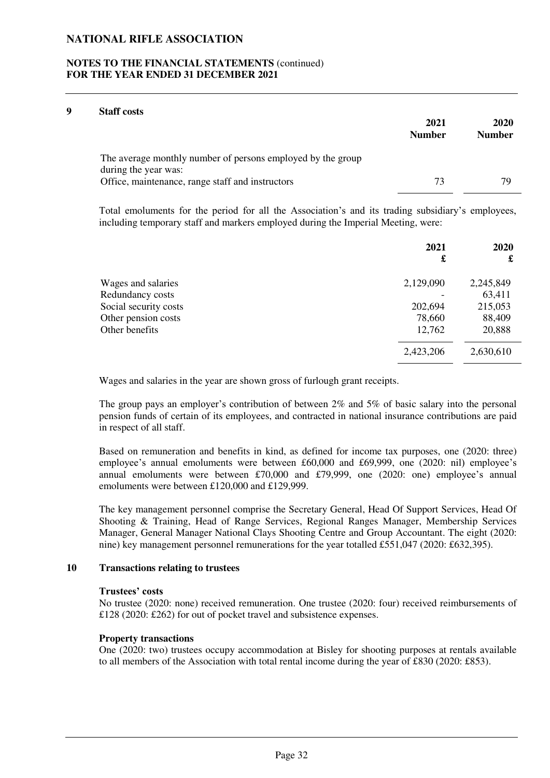#### **NOTES TO THE FINANCIAL STATEMENTS** (continued) **FOR THE YEAR ENDED 31 DECEMBER 2021**

#### **9 Staff costs**

|                                                                                     | 2021<br><b>Number</b> | 2020<br><b>Number</b> |
|-------------------------------------------------------------------------------------|-----------------------|-----------------------|
| The average monthly number of persons employed by the group<br>during the year was: |                       |                       |
| Office, maintenance, range staff and instructors                                    | 73                    | 79                    |

Total emoluments for the period for all the Association's and its trading subsidiary's employees, including temporary staff and markers employed during the Imperial Meeting, were:

|                       | 2021<br>£ | <b>2020</b><br>£ |
|-----------------------|-----------|------------------|
|                       |           |                  |
| Wages and salaries    | 2,129,090 | 2,245,849        |
| Redundancy costs      |           | 63,411           |
| Social security costs | 202,694   | 215,053          |
| Other pension costs   | 78,660    | 88,409           |
| Other benefits        | 12,762    | 20,888           |
|                       | 2,423,206 | 2,630,610        |

Wages and salaries in the year are shown gross of furlough grant receipts.

The group pays an employer's contribution of between 2% and 5% of basic salary into the personal pension funds of certain of its employees, and contracted in national insurance contributions are paid in respect of all staff.

Based on remuneration and benefits in kind, as defined for income tax purposes, one (2020: three) employee's annual emoluments were between £60,000 and £69,999, one (2020: nil) employee's annual emoluments were between £70,000 and £79,999, one (2020: one) employee's annual emoluments were between £120,000 and £129,999.

The key management personnel comprise the Secretary General, Head Of Support Services, Head Of Shooting & Training, Head of Range Services, Regional Ranges Manager, Membership Services Manager, General Manager National Clays Shooting Centre and Group Accountant. The eight (2020: nine) key management personnel remunerations for the year totalled £551,047 (2020: £632,395).

#### **10 Transactions relating to trustees**

#### **Trustees' costs**

No trustee (2020: none) received remuneration. One trustee (2020: four) received reimbursements of £128 (2020: £262) for out of pocket travel and subsistence expenses.

#### **Property transactions**

One (2020: two) trustees occupy accommodation at Bisley for shooting purposes at rentals available to all members of the Association with total rental income during the year of £830 (2020: £853).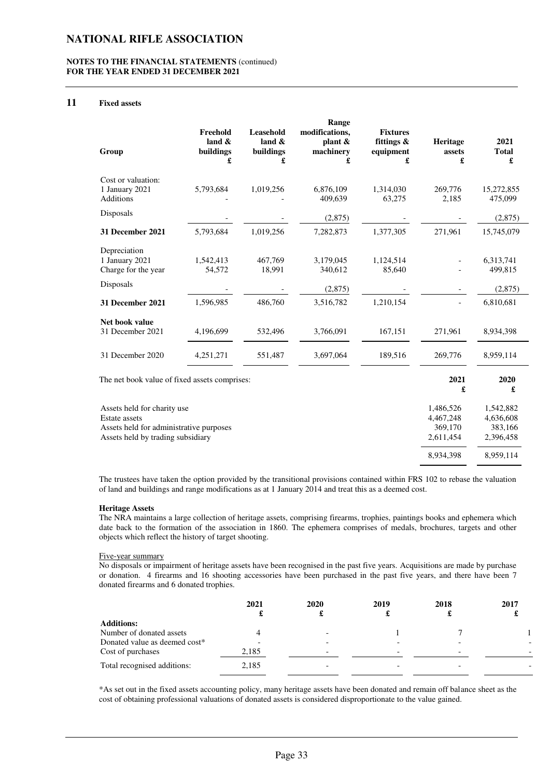#### **NOTES TO THE FINANCIAL STATEMENTS** (continued) **FOR THE YEAR ENDED 31 DECEMBER 2021**

#### **11 Fixed assets**

| Group                                                                                                                        | Freehold<br>land $\&$<br>buildings<br>£ | Leasehold<br>land $\&$<br>buildings<br>£ | Range<br>modifications,<br>plant $\&$<br>machinery<br>£ | <b>Fixtures</b><br>fittings &<br>equipment<br>£ | Heritage<br>assets<br>£                        | 2021<br><b>Total</b><br>£                      |
|------------------------------------------------------------------------------------------------------------------------------|-----------------------------------------|------------------------------------------|---------------------------------------------------------|-------------------------------------------------|------------------------------------------------|------------------------------------------------|
| Cost or valuation:<br>1 January 2021<br><b>Additions</b>                                                                     | 5,793,684                               | 1,019,256                                | 6,876,109<br>409,639                                    | 1,314,030<br>63,275                             | 269,776<br>2,185                               | 15,272,855<br>475,099                          |
| Disposals                                                                                                                    |                                         |                                          | (2,875)                                                 |                                                 |                                                | (2,875)                                        |
| 31 December 2021                                                                                                             | 5,793,684                               | 1,019,256                                | 7,282,873                                               | 1,377,305                                       | 271,961                                        | 15,745,079                                     |
| Depreciation<br>1 January 2021<br>Charge for the year                                                                        | 1,542,413<br>54,572                     | 467,769<br>18,991                        | 3,179,045<br>340,612                                    | 1,124,514<br>85,640                             |                                                | 6,313,741<br>499,815                           |
| Disposals                                                                                                                    |                                         |                                          | (2,875)                                                 |                                                 |                                                | (2,875)                                        |
| 31 December 2021                                                                                                             | 1,596,985                               | 486,760                                  | 3,516,782                                               | 1,210,154                                       | $\overline{a}$                                 | 6,810,681                                      |
| Net book value<br>31 December 2021                                                                                           | 4,196,699                               | 532,496                                  | 3,766,091                                               | 167,151                                         | 271,961                                        | 8,934,398                                      |
| 31 December 2020                                                                                                             | 4,251,271                               | 551,487                                  | 3,697,064                                               | 189,516                                         | 269,776                                        | 8,959,114                                      |
| The net book value of fixed assets comprises:                                                                                |                                         |                                          |                                                         |                                                 | 2021<br>£                                      | 2020                                           |
| Assets held for charity use<br>Estate assets<br>Assets held for administrative purposes<br>Assets held by trading subsidiary |                                         |                                          |                                                         |                                                 | 1,486,526<br>4,467,248<br>369,170<br>2,611,454 | 1,542,882<br>4,636,608<br>383,166<br>2,396,458 |

The trustees have taken the option provided by the transitional provisions contained within FRS 102 to rebase the valuation of land and buildings and range modifications as at 1 January 2014 and treat this as a deemed cost.

8,934,398 8,959,114

#### **Heritage Assets**

The NRA maintains a large collection of heritage assets, comprising firearms, trophies, paintings books and ephemera which date back to the formation of the association in 1860. The ephemera comprises of medals, brochures, targets and other objects which reflect the history of target shooting.

#### Five-year summary

No disposals or impairment of heritage assets have been recognised in the past five years. Acquisitions are made by purchase or donation.4 firearms and 16 shooting accessories have been purchased in the past five years, and there have been 7 donated firearms and 6 donated trophies.

|                               | 2021  | 2020                     | 2019                     | 2018<br>d. | 2017 |
|-------------------------------|-------|--------------------------|--------------------------|------------|------|
| <b>Additions:</b>             |       |                          |                          |            |      |
| Number of donated assets      |       | $\overline{\phantom{0}}$ |                          |            |      |
| Donated value as deemed cost* |       |                          |                          |            |      |
| Cost of purchases             | 2,185 | -                        | $\overline{\phantom{0}}$ |            |      |
| Total recognised additions:   | 2,185 |                          |                          |            |      |

\*As set out in the fixed assets accounting policy, many heritage assets have been donated and remain off balance sheet as the cost of obtaining professional valuations of donated assets is considered disproportionate to the value gained.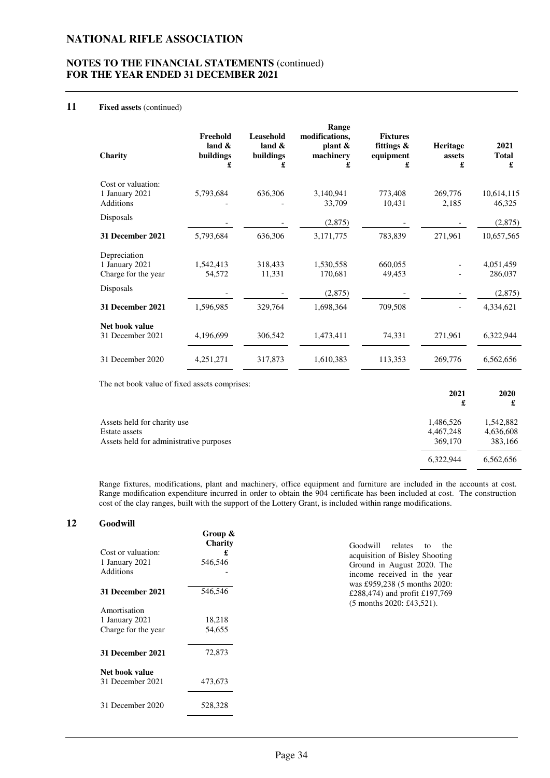#### **NOTES TO THE FINANCIAL STATEMENTS** (continued) **FOR THE YEAR ENDED 31 DECEMBER 2021**

#### **11 Fixed assets** (continued)

| Charity                            | Freehold<br>land $\&$<br>buildings<br>£ | Leasehold<br>land $\&$<br>buildings<br>£ | Range<br>modifications,<br>plant $\&$<br>machinery<br>£ | <b>Fixtures</b><br>fittings &<br>equipment<br>£ | <b>Heritage</b><br>assets<br>£ | 2021<br><b>Total</b><br>£ |
|------------------------------------|-----------------------------------------|------------------------------------------|---------------------------------------------------------|-------------------------------------------------|--------------------------------|---------------------------|
| Cost or valuation:                 |                                         |                                          |                                                         |                                                 |                                |                           |
| 1 January 2021<br><b>Additions</b> | 5,793,684                               | 636,306                                  | 3,140,941<br>33,709                                     | 773,408<br>10,431                               | 269,776<br>2,185               | 10,614,115<br>46,325      |
| Disposals                          |                                         |                                          | (2,875)                                                 |                                                 |                                | (2,875)                   |
| 31 December 2021                   | 5,793,684                               | 636,306                                  | 3,171,775                                               | 783,839                                         | 271,961                        | 10,657,565                |
| Depreciation                       |                                         |                                          |                                                         |                                                 |                                |                           |
| 1 January 2021                     | 1,542,413                               | 318,433                                  | 1,530,558                                               | 660,055                                         |                                | 4,051,459                 |
| Charge for the year                | 54,572                                  | 11,331                                   | 170,681                                                 | 49,453                                          |                                | 286,037                   |
| Disposals                          |                                         |                                          | (2, 875)                                                |                                                 |                                | (2,875)                   |
| 31 December 2021                   | 1,596,985                               | 329,764                                  | 1,698,364                                               | 709,508                                         |                                | 4,334,621                 |
| Net book value                     |                                         |                                          |                                                         |                                                 |                                |                           |
| 31 December 2021                   | 4,196,699                               | 306,542                                  | 1,473,411                                               | 74,331                                          | 271,961                        | 6,322,944                 |
| 31 December 2020                   | 4,251,271                               | 317,873                                  | 1,610,383                                               | 113,353                                         | 269,776                        | 6,562,656                 |
|                                    |                                         |                                          |                                                         |                                                 |                                |                           |

The net book value of fixed assets comprises:

|                                         | 2021<br>£ | 2020<br>£ |
|-----------------------------------------|-----------|-----------|
| Assets held for charity use             | 1,486,526 | 1,542,882 |
| Estate assets                           | 4,467,248 | 4,636,608 |
| Assets held for administrative purposes | 369,170   | 383,166   |
|                                         | 6,322,944 | 6,562,656 |

Range fixtures, modifications, plant and machinery, office equipment and furniture are included in the accounts at cost. Range modification expenditure incurred in order to obtain the 904 certificate has been included at cost. The construction cost of the clay ranges, built with the support of the Lottery Grant, is included within range modifications.

#### **12 Goodwill**

|                     | Group &<br><b>Charity</b> | Goodwill relates<br>the<br>to.                              |
|---------------------|---------------------------|-------------------------------------------------------------|
| Cost or valuation:  | £                         | acquisition of Bisley Shooting                              |
| 1 January 2021      | 546,546                   | Ground in August 2020. The                                  |
| <b>Additions</b>    |                           | income received in the year<br>was £959,238 (5 months 2020: |
| 31 December 2021    | 546,546                   | £288,474) and profit £197,769                               |
|                     |                           | $(5$ months 2020: £43,521).                                 |
| Amortisation        |                           |                                                             |
| 1 January 2021      | 18,218                    |                                                             |
| Charge for the year | 54,655                    |                                                             |
| 31 December 2021    | 72,873                    |                                                             |
| Net book value      |                           |                                                             |
| 31 December 2021    | 473,673                   |                                                             |
| 31 December 2020    | 528,328                   |                                                             |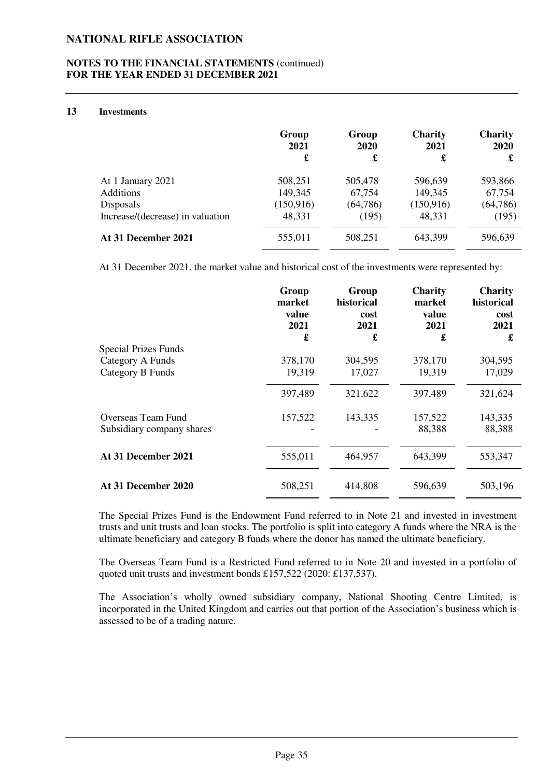#### **NOTES TO THE FINANCIAL STATEMENTS** (continued) **FOR THE YEAR ENDED 31 DECEMBER 2021**

#### **13 Investments**

|                                  | Group<br>2021<br>£ | Group<br>2020<br>£ | <b>Charity</b><br>2021<br>£ | <b>Charity</b><br>2020<br>£ |
|----------------------------------|--------------------|--------------------|-----------------------------|-----------------------------|
| At 1 January 2021                | 508,251            | 505,478            | 596,639                     | 593,866                     |
| <b>Additions</b>                 | 149,345            | 67,754             | 149,345                     | 67,754                      |
| Disposals                        | (150, 916)         | (64, 786)          | (150, 916)                  | (64, 786)                   |
| Increase/(decrease) in valuation | 48,331             | (195)              | 48,331                      | (195)                       |
| At 31 December 2021              | 555,011            | 508,251            | 643,399                     | 596,639                     |

At 31 December 2021, the market value and historical cost of the investments were represented by:

|                             | Group<br>market<br>value<br>2021<br>£ | Group<br>historical<br>cost<br>2021<br>£ | <b>Charity</b><br>market<br>value<br>2021<br>£ | <b>Charity</b><br>historical<br>cost<br>2021<br>£ |
|-----------------------------|---------------------------------------|------------------------------------------|------------------------------------------------|---------------------------------------------------|
| <b>Special Prizes Funds</b> |                                       |                                          |                                                |                                                   |
| Category A Funds            | 378,170                               | 304,595                                  | 378,170                                        | 304,595                                           |
| Category B Funds            | 19,319                                | 17,027                                   | 19,319                                         | 17,029                                            |
|                             | 397,489                               | 321,622                                  | 397,489                                        | 321,624                                           |
| Overseas Team Fund          | 157,522                               | 143,335                                  | 157,522                                        | 143,335                                           |
| Subsidiary company shares   |                                       |                                          | 88,388                                         | 88,388                                            |
| At 31 December 2021         | 555,011                               | 464,957                                  | 643,399                                        | 553,347                                           |
| At 31 December 2020         | 508,251                               | 414,808                                  | 596,639                                        | 503,196                                           |

The Special Prizes Fund is the Endowment Fund referred to in Note 21 and invested in investment trusts and unit trusts and loan stocks. The portfolio is split into category A funds where the NRA is the ultimate beneficiary and category B funds where the donor has named the ultimate beneficiary.

The Overseas Team Fund is a Restricted Fund referred to in Note 20 and invested in a portfolio of quoted unit trusts and investment bonds £157,522 (2020: £137,537).

The Association's wholly owned subsidiary company, National Shooting Centre Limited, is incorporated in the United Kingdom and carries out that portion of the Association's business which is assessed to be of a trading nature.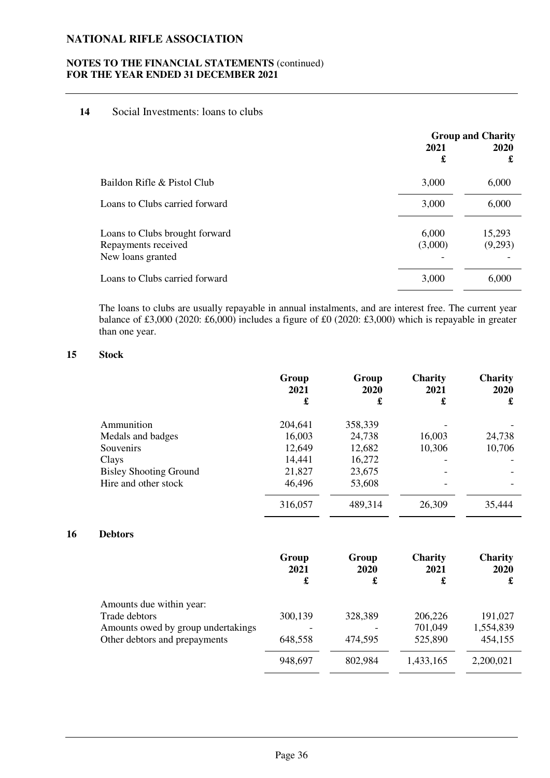#### **NOTES TO THE FINANCIAL STATEMENTS** (continued) **FOR THE YEAR ENDED 31 DECEMBER 2021**

### **14** Social Investments: loans to clubs

|                                                                            | <b>Group and Charity</b> |                   |  |
|----------------------------------------------------------------------------|--------------------------|-------------------|--|
|                                                                            | 2021<br>£                | 2020<br>£         |  |
| Baildon Rifle & Pistol Club                                                | 3,000                    | 6,000             |  |
| Loans to Clubs carried forward                                             | 3,000                    | 6,000             |  |
| Loans to Clubs brought forward<br>Repayments received<br>New loans granted | 6,000<br>(3,000)         | 15,293<br>(9,293) |  |
| Loans to Clubs carried forward                                             | 3,000                    | 6,000             |  |

The loans to clubs are usually repayable in annual instalments, and are interest free. The current year balance of £3,000 (2020: £6,000) includes a figure of £0 (2020: £3,000) which is repayable in greater than one year.

### **15 Stock**

|                               | Group<br>2021 | Group<br>2020 | <b>Charity</b><br>2021 | <b>Charity</b><br>2020 |
|-------------------------------|---------------|---------------|------------------------|------------------------|
|                               | £             | £             | £                      | £                      |
| Ammunition                    | 204,641       | 358,339       |                        |                        |
| Medals and badges             | 16,003        | 24,738        | 16,003                 | 24,738                 |
| Souvenirs                     | 12,649        | 12,682        | 10,306                 | 10,706                 |
| Clays                         | 14,441        | 16,272        |                        |                        |
| <b>Bisley Shooting Ground</b> | 21,827        | 23,675        |                        |                        |
| Hire and other stock          | 46,496        | 53,608        |                        |                        |
|                               | 316,057       | 489,314       | 26,309                 | 35,444                 |

### **16 Debtors**

|                                    | Group<br>2021<br>£ | Group<br>2020<br>£ | <b>Charity</b><br>2021<br>£ | <b>Charity</b><br>2020<br>£ |
|------------------------------------|--------------------|--------------------|-----------------------------|-----------------------------|
| Amounts due within year:           |                    |                    |                             |                             |
| Trade debtors                      | 300,139            | 328,389            | 206,226                     | 191,027                     |
| Amounts owed by group undertakings |                    |                    | 701,049                     | 1,554,839                   |
| Other debtors and prepayments      | 648,558            | 474,595            | 525,890                     | 454,155                     |
|                                    | 948,697            | 802,984            | 1,433,165                   | 2,200,021                   |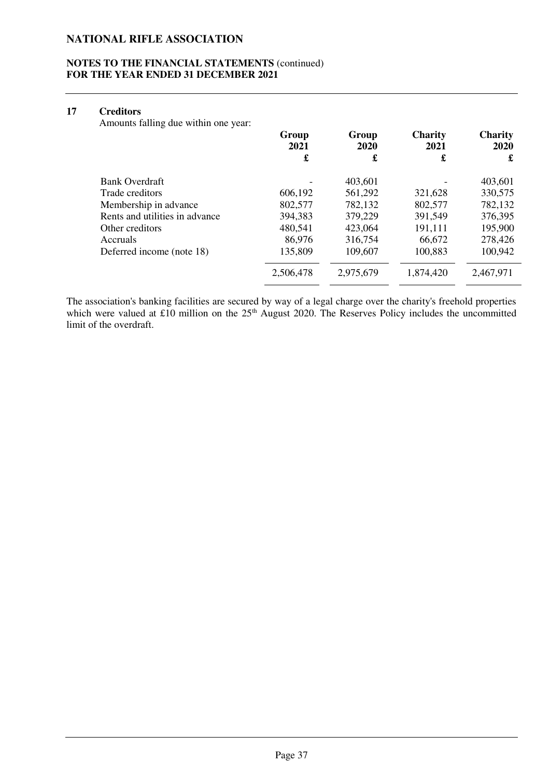#### **NOTES TO THE FINANCIAL STATEMENTS** (continued) **FOR THE YEAR ENDED 31 DECEMBER 2021**

### **17 Creditors**

Amounts falling due within one year:

|                                | Group<br>2021 | Group<br>2020 | <b>Charity</b><br>2021 | <b>Charity</b><br>2020 |
|--------------------------------|---------------|---------------|------------------------|------------------------|
|                                | £             | £             | £                      | £                      |
| <b>Bank Overdraft</b>          |               | 403,601       |                        | 403,601                |
| Trade creditors                | 606,192       | 561,292       | 321,628                | 330,575                |
| Membership in advance          | 802,577       | 782,132       | 802,577                | 782,132                |
| Rents and utilities in advance | 394,383       | 379,229       | 391,549                | 376,395                |
| Other creditors                | 480,541       | 423,064       | 191,111                | 195,900                |
| Accruals                       | 86,976        | 316,754       | 66,672                 | 278,426                |
| Deferred income (note 18)      | 135,809       | 109,607       | 100,883                | 100,942                |
|                                | 2,506,478     | 2,975,679     | 1,874,420              | 2,467,971              |

The association's banking facilities are secured by way of a legal charge over the charity's freehold properties which were valued at £10 million on the  $25<sup>th</sup>$  August 2020. The Reserves Policy includes the uncommitted limit of the overdraft.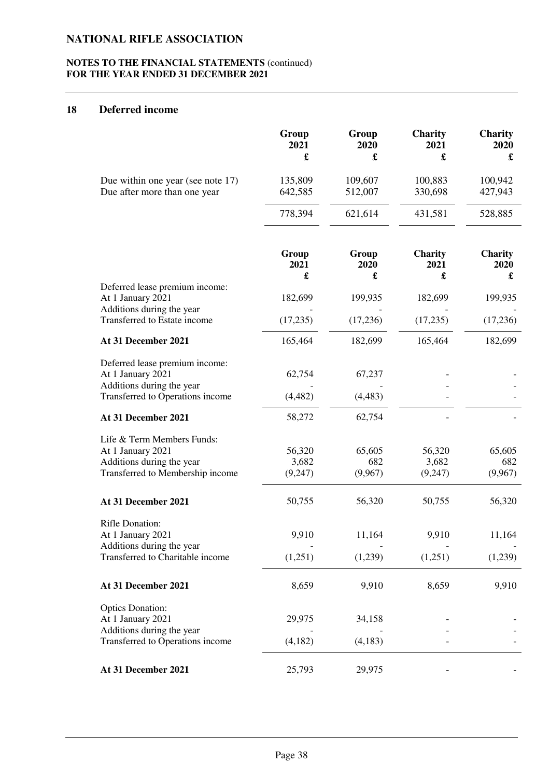### **NOTES TO THE FINANCIAL STATEMENTS** (continued) **FOR THE YEAR ENDED 31 DECEMBER 2021**

# **18 Deferred income**

|                                                                                                                      | Group<br>2021<br>£         | Group<br>2020<br>£       | Charity<br>2021<br>£       | <b>Charity</b><br>2020<br>£ |
|----------------------------------------------------------------------------------------------------------------------|----------------------------|--------------------------|----------------------------|-----------------------------|
| Due within one year (see note 17)<br>Due after more than one year                                                    | 135,809<br>642,585         | 109,607<br>512,007       | 100,883<br>330,698         | 100,942<br>427,943          |
|                                                                                                                      | 778,394                    | 621,614                  | 431,581                    | 528,885                     |
|                                                                                                                      | Group<br>2021<br>£         | Group<br>2020<br>£       | Charity<br>2021<br>£       | Charity<br>2020<br>£        |
| Deferred lease premium income:<br>At 1 January 2021                                                                  | 182,699                    | 199,935                  | 182,699                    | 199,935                     |
| Additions during the year<br>Transferred to Estate income                                                            | (17, 235)                  | (17,236)                 | (17,235)                   | (17,236)                    |
| At 31 December 2021                                                                                                  | 165,464                    | 182,699                  | 165,464                    | 182,699                     |
| Deferred lease premium income:<br>At 1 January 2021<br>Additions during the year<br>Transferred to Operations income | 62,754<br>(4, 482)         | 67,237<br>(4, 483)       |                            |                             |
| At 31 December 2021                                                                                                  | 58,272                     | 62,754                   |                            |                             |
| Life & Term Members Funds:<br>At 1 January 2021<br>Additions during the year<br>Transferred to Membership income     | 56,320<br>3,682<br>(9,247) | 65,605<br>682<br>(9,967) | 56,320<br>3,682<br>(9,247) | 65,605<br>682<br>(9,967)    |
| At 31 December 2021                                                                                                  | 50,755                     | 56,320                   | 50,755                     | 56,320                      |
| Rifle Donation:<br>At 1 January 2021<br>Additions during the year<br>Transferred to Charitable income                | 9,910<br>(1,251)           | 11,164<br>(1,239)        | 9,910<br>(1,251)           | 11,164<br>(1,239)           |
| At 31 December 2021                                                                                                  | 8,659                      | 9,910                    | 8,659                      | 9,910                       |
| <b>Optics Donation:</b><br>At 1 January 2021<br>Additions during the year<br>Transferred to Operations income        | 29,975<br>(4,182)          | 34,158<br>(4, 183)       |                            |                             |
| At 31 December 2021                                                                                                  | 25,793                     | 29,975                   |                            |                             |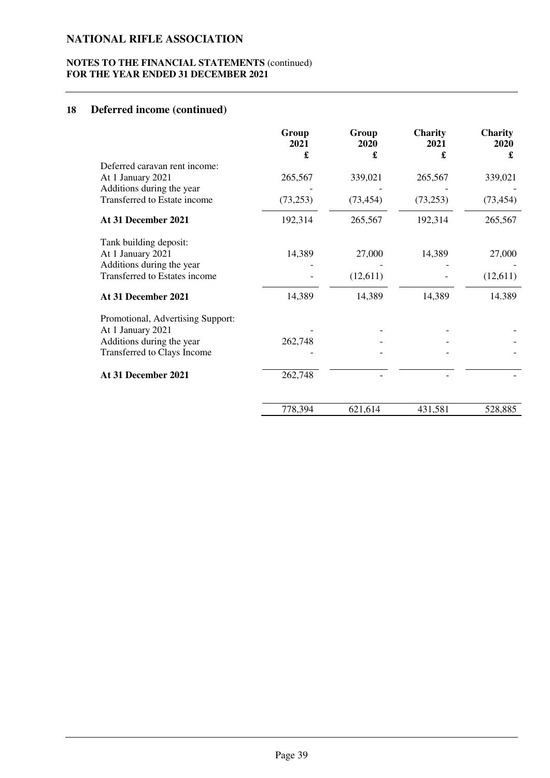### **NOTES TO THE FINANCIAL STATEMENTS** (continued) **FOR THE YEAR ENDED 31 DECEMBER 2021**

# **18 Deferred income (continued)**

|                                                                                                                    | Group<br>2021<br>£ | Group<br>2020<br>£ | Charity<br>2021<br>£ | Charity<br>2020<br>£ |
|--------------------------------------------------------------------------------------------------------------------|--------------------|--------------------|----------------------|----------------------|
| Deferred caravan rent income:<br>At 1 January 2021                                                                 | 265,567            | 339,021            | 265,567              | 339,021              |
| Additions during the year<br>Transferred to Estate income                                                          | (73,253)           | (73, 454)          | (73, 253)            | (73, 454)            |
| At 31 December 2021                                                                                                | 192,314            | 265,567            | 192,314              | 265,567              |
| Tank building deposit:<br>At 1 January 2021<br>Additions during the year                                           | 14,389             | 27,000             | 14,389               | 27,000               |
| Transferred to Estates income                                                                                      |                    | (12,611)           |                      | (12,611)             |
| At 31 December 2021                                                                                                | 14,389             | 14,389             | 14,389               | 14.389               |
| Promotional, Advertising Support:<br>At 1 January 2021<br>Additions during the year<br>Transferred to Clays Income | 262,748            |                    |                      |                      |
| At 31 December 2021                                                                                                | 262,748            |                    |                      |                      |
|                                                                                                                    | 778,394            | 621,614            | 431,581              | 528,885              |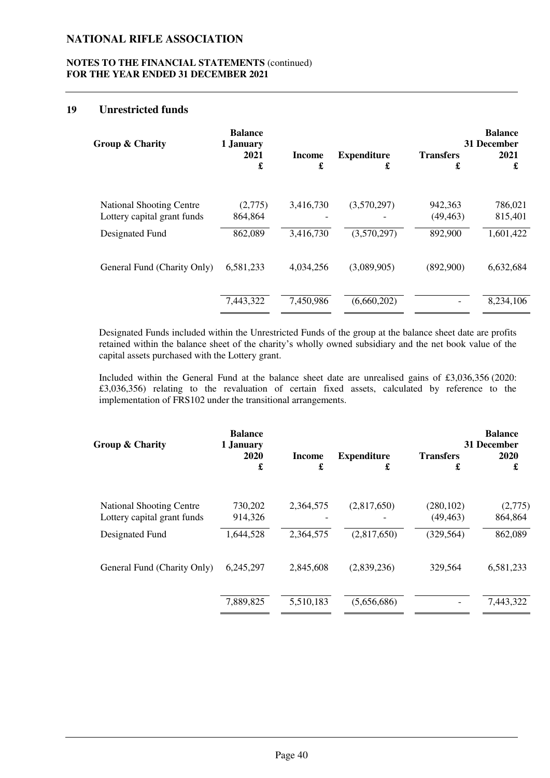### **NOTES TO THE FINANCIAL STATEMENTS** (continued) **FOR THE YEAR ENDED 31 DECEMBER 2021**

#### **19 Unrestricted funds**

| Group & Charity                 | <b>Balance</b><br>1 January<br>2021<br>£ | Income<br>£ | <b>Expenditure</b><br>£ | <b>Transfers</b><br>£ | <b>Balance</b><br>31 December<br>2021<br>£ |
|---------------------------------|------------------------------------------|-------------|-------------------------|-----------------------|--------------------------------------------|
| <b>National Shooting Centre</b> | (2,775)                                  | 3,416,730   | (3,570,297)             | 942,363               | 786,021                                    |
| Lottery capital grant funds     | 864,864                                  |             |                         | (49, 463)             | 815,401                                    |
| Designated Fund                 | 862,089                                  | 3,416,730   | (3,570,297)             | 892,900               | 1,601,422                                  |
| General Fund (Charity Only)     | 6,581,233                                | 4,034,256   | (3,089,905)             | (892,900)             | 6,632,684                                  |
|                                 | 7,443,322                                | 7,450,986   | (6,660,202)             |                       | 8,234,106                                  |
|                                 |                                          |             |                         |                       |                                            |

Designated Funds included within the Unrestricted Funds of the group at the balance sheet date are profits retained within the balance sheet of the charity's wholly owned subsidiary and the net book value of the capital assets purchased with the Lottery grant.

Included within the General Fund at the balance sheet date are unrealised gains of £3,036,356 (2020: £3,036,356) relating to the revaluation of certain fixed assets, calculated by reference to the implementation of FRS102 under the transitional arrangements.

| Group & Charity                                                | <b>Balance</b><br>1 January<br>2020<br>£ | <b>Income</b><br>£ | <b>Expenditure</b><br>£ | <b>Transfers</b><br>£   | <b>Balance</b><br>31 December<br>2020<br>£ |
|----------------------------------------------------------------|------------------------------------------|--------------------|-------------------------|-------------------------|--------------------------------------------|
| <b>National Shooting Centre</b><br>Lottery capital grant funds | 730,202<br>914,326                       | 2,364,575          | (2,817,650)             | (280, 102)<br>(49, 463) | (2,775)<br>864,864                         |
| Designated Fund                                                | 1,644,528                                | 2,364,575          | (2,817,650)             | (329, 564)              | 862,089                                    |
| General Fund (Charity Only)                                    | 6,245,297                                | 2,845,608          | (2,839,236)             | 329,564                 | 6,581,233                                  |
|                                                                | 7,889,825                                | 5,510,183          | (5,656,686)             |                         | 7,443,322                                  |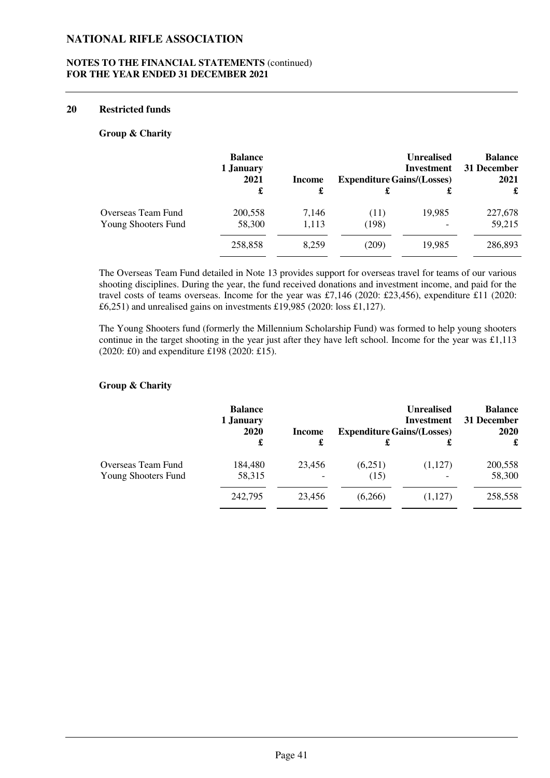### **NOTES TO THE FINANCIAL STATEMENTS** (continued) **FOR THE YEAR ENDED 31 DECEMBER 2021**

#### **20 Restricted funds**

#### **Group & Charity**

|                     | <b>Balance</b><br>1 January<br>2021 | Income | <b>Unrealised</b><br><b>Investment</b><br><b>Expenditure Gains/(Losses)</b> |        | <b>Balance</b><br>31 December<br>2021 |
|---------------------|-------------------------------------|--------|-----------------------------------------------------------------------------|--------|---------------------------------------|
|                     | £                                   | £      |                                                                             | £      | £                                     |
| Overseas Team Fund  | 200,558                             | 7,146  | (11)                                                                        | 19,985 | 227,678                               |
| Young Shooters Fund | 58,300                              | 1,113  | (198)                                                                       |        | 59,215                                |
|                     | 258,858                             | 8.259  | (209)                                                                       | 19,985 | 286,893                               |

The Overseas Team Fund detailed in Note 13 provides support for overseas travel for teams of our various shooting disciplines. During the year, the fund received donations and investment income, and paid for the travel costs of teams overseas. Income for the year was £7,146 (2020: £23,456), expenditure £11 (2020: £6,251) and unrealised gains on investments £19,985 (2020: loss £1,127).

The Young Shooters fund (formerly the Millennium Scholarship Fund) was formed to help young shooters continue in the target shooting in the year just after they have left school. Income for the year was  $\pounds1.113$ (2020: £0) and expenditure £198 (2020: £15).

#### **Group & Charity**

|                                           | <b>Balance</b><br>1 January<br>2020 | Income | <b>Unrealised</b><br>Investment<br><b>Expenditure Gains/(Losses)</b> |         | <b>Balance</b><br>31 December<br><b>2020</b> |
|-------------------------------------------|-------------------------------------|--------|----------------------------------------------------------------------|---------|----------------------------------------------|
|                                           | £                                   | £      |                                                                      |         | £                                            |
| Overseas Team Fund<br>Young Shooters Fund | 184,480<br>58,315                   | 23,456 | (6,251)<br>(15)                                                      | (1,127) | 200,558<br>58,300                            |
|                                           | 242,795                             | 23,456 | (6,266)                                                              | (1,127) | 258,558                                      |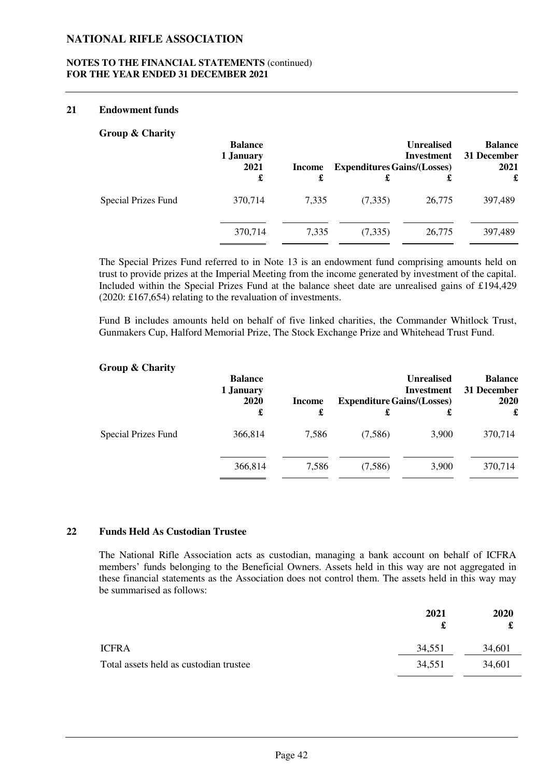### **NOTES TO THE FINANCIAL STATEMENTS** (continued) **FOR THE YEAR ENDED 31 DECEMBER 2021**

#### **21 Endowment funds**

#### **Group & Charity**

| $\bullet$                  | <b>Balance</b><br>1 January<br>2021 | Income | <b>Expenditures Gains/(Losses)</b> | <b>Unrealised</b><br>Investment | <b>Balance</b><br>31 December<br>2021 |
|----------------------------|-------------------------------------|--------|------------------------------------|---------------------------------|---------------------------------------|
|                            | £                                   | £      | £                                  |                                 | £                                     |
| <b>Special Prizes Fund</b> | 370,714                             | 7,335  | (7,335)                            | 26,775                          | 397,489                               |
|                            | 370,714                             | 7,335  | (7,335)                            | 26,775                          | 397,489                               |

The Special Prizes Fund referred to in Note 13 is an endowment fund comprising amounts held on trust to provide prizes at the Imperial Meeting from the income generated by investment of the capital. Included within the Special Prizes Fund at the balance sheet date are unrealised gains of £194,429 (2020: £167,654) relating to the revaluation of investments.

Fund B includes amounts held on behalf of five linked charities, the Commander Whitlock Trust, Gunmakers Cup, Halford Memorial Prize, The Stock Exchange Prize and Whitehead Trust Fund.

#### **Group & Charity**

|                            | <b>Balance</b><br>1 January<br>2020 | <b>Income</b> | <b>Expenditure Gains/(Losses)</b> | <b>Unrealised</b><br><b>Investment</b> | <b>Balance</b><br>31 December<br>2020 |
|----------------------------|-------------------------------------|---------------|-----------------------------------|----------------------------------------|---------------------------------------|
|                            | £                                   | £             | £                                 | £                                      | £                                     |
| <b>Special Prizes Fund</b> | 366,814                             | 7,586         | (7,586)                           | 3,900                                  | 370,714                               |
|                            | 366,814                             | 7,586         | (7,586)                           | 3,900                                  | 370,714                               |

### **22 Funds Held As Custodian Trustee**

The National Rifle Association acts as custodian, managing a bank account on behalf of ICFRA members' funds belonging to the Beneficial Owners. Assets held in this way are not aggregated in these financial statements as the Association does not control them. The assets held in this way may be summarised as follows:

|                                        | 2021   | <b>2020</b> |
|----------------------------------------|--------|-------------|
| <b>ICFRA</b>                           | 34,551 | 34,601      |
| Total assets held as custodian trustee | 34,551 | 34,601      |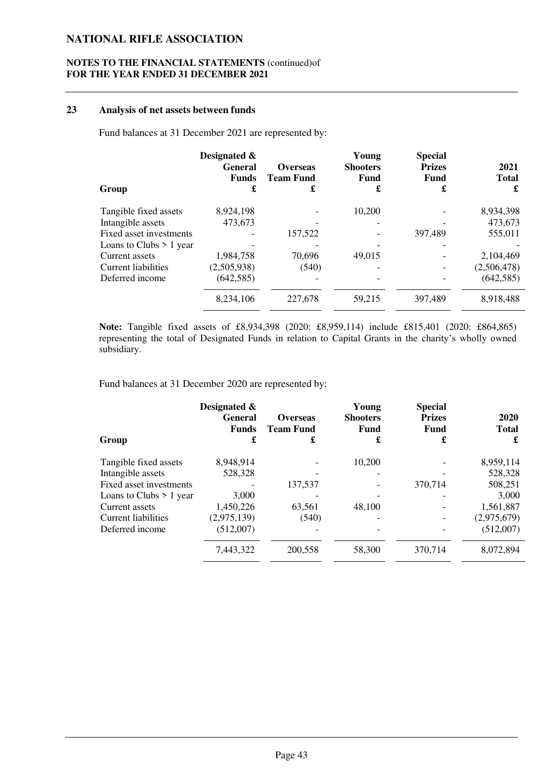### **NOTES TO THE FINANCIAL STATEMENTS** (continued)of **FOR THE YEAR ENDED 31 DECEMBER 2021**

### **23 Analysis of net assets between funds**

Fund balances at 31 December 2021 are represented by:

| Designated &<br><b>General</b><br><b>Funds</b><br>£ | <b>Overseas</b><br><b>Team Fund</b><br>£ | Young<br><b>Shooters</b><br>Fund<br>£ | <b>Special</b><br><b>Prizes</b><br><b>Fund</b><br>£ | 2021<br><b>Total</b><br>£ |
|-----------------------------------------------------|------------------------------------------|---------------------------------------|-----------------------------------------------------|---------------------------|
| 8,924,198                                           |                                          | 10,200                                |                                                     | 8,934,398                 |
| 473,673                                             |                                          |                                       |                                                     | 473,673                   |
|                                                     | 157,522                                  |                                       | 397,489                                             | 555,011                   |
|                                                     |                                          |                                       |                                                     |                           |
| 1,984,758                                           | 70,696                                   | 49.015                                |                                                     | 2,104,469                 |
| (2,505,938)                                         | (540)                                    |                                       |                                                     | (2,506,478)               |
| (642, 585)                                          |                                          |                                       |                                                     | (642, 585)                |
| 8,234,106                                           | 227,678                                  | 59,215                                | 397,489                                             | 8,918,488                 |
|                                                     |                                          |                                       |                                                     |                           |

**Note:** Tangible fixed assets of £8,934,398 (2020: £8,959,114) include £815,401 (2020: £864,865) representing the total of Designated Funds in relation to Capital Grants in the charity's wholly owned subsidiary.

Fund balances at 31 December 2020 are represented by:

|                            | Designated &<br><b>General</b><br><b>Funds</b> | <b>Overseas</b><br><b>Team Fund</b> | Young<br><b>Shooters</b><br>Fund | <b>Special</b><br><b>Prizes</b><br>Fund | 2020<br><b>Total</b> |
|----------------------------|------------------------------------------------|-------------------------------------|----------------------------------|-----------------------------------------|----------------------|
| Group                      | £                                              | £                                   | £                                | £                                       | £                    |
| Tangible fixed assets      | 8,948,914                                      |                                     | 10,200                           |                                         | 8,959,114            |
| Intangible assets          | 528,328                                        |                                     |                                  |                                         | 528,328              |
| Fixed asset investments    |                                                | 137.537                             |                                  | 370.714                                 | 508,251              |
| Loans to Clubs $> 1$ year  | 3,000                                          |                                     |                                  |                                         | 3,000                |
| Current assets             | 1,450,226                                      | 63,561                              | 48,100                           |                                         | 1,561,887            |
| <b>Current liabilities</b> | (2,975,139)                                    | (540)                               |                                  |                                         | (2,975,679)          |
| Deferred income            | (512,007)                                      |                                     |                                  |                                         | (512,007)            |
|                            | 7,443,322                                      | 200,558                             | 58,300                           | 370,714                                 | 8,072,894            |
|                            |                                                |                                     |                                  |                                         |                      |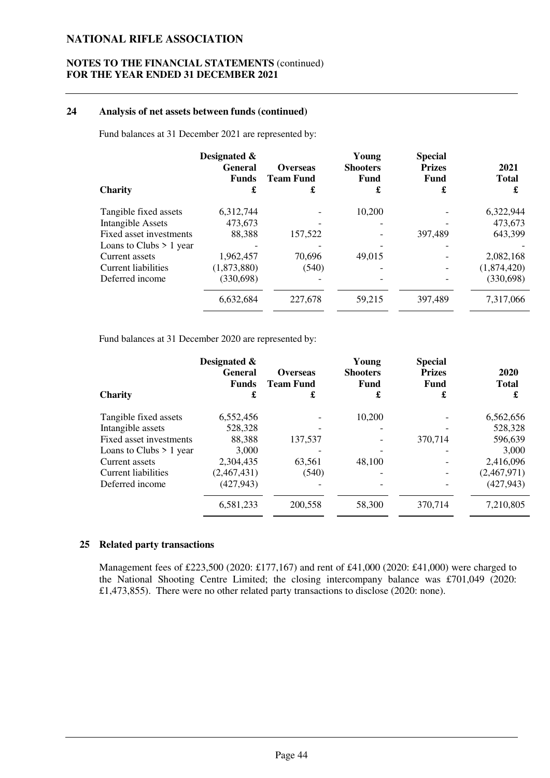#### **NOTES TO THE FINANCIAL STATEMENTS** (continued) **FOR THE YEAR ENDED 31 DECEMBER 2021**

#### **24 Analysis of net assets between funds (continued)**

Fund balances at 31 December 2021 are represented by:

| <b>Charity</b>            | Designated &<br>General<br><b>Funds</b><br>£ | <b>Overseas</b><br><b>Team Fund</b><br>£ | Young<br><b>Shooters</b><br><b>Fund</b><br>£ | <b>Special</b><br><b>Prizes</b><br>Fund<br>£ | 2021<br><b>Total</b><br>£ |
|---------------------------|----------------------------------------------|------------------------------------------|----------------------------------------------|----------------------------------------------|---------------------------|
| Tangible fixed assets     | 6,312,744                                    |                                          | 10.200                                       |                                              | 6,322,944                 |
| <b>Intangible Assets</b>  | 473,673                                      |                                          |                                              |                                              | 473,673                   |
| Fixed asset investments   | 88,388                                       | 157,522                                  |                                              | 397,489                                      | 643,399                   |
| Loans to Clubs $> 1$ year |                                              |                                          |                                              |                                              |                           |
| Current assets            | 1,962,457                                    | 70,696                                   | 49,015                                       |                                              | 2,082,168                 |
| Current liabilities       | (1,873,880)                                  | (540)                                    |                                              |                                              | (1,874,420)               |
| Deferred income           | (330, 698)                                   |                                          |                                              |                                              | (330,698)                 |
|                           | 6,632,684                                    | 227,678                                  | 59,215                                       | 397,489                                      | 7,317,066                 |
|                           |                                              |                                          |                                              |                                              |                           |

Fund balances at 31 December 2020 are represented by:

|                           | Designated &<br><b>General</b><br><b>Funds</b> | <b>Overseas</b><br><b>Team Fund</b> | Young<br><b>Shooters</b><br><b>Fund</b> | <b>Special</b><br><b>Prizes</b><br>Fund | 2020<br><b>Total</b> |
|---------------------------|------------------------------------------------|-------------------------------------|-----------------------------------------|-----------------------------------------|----------------------|
| <b>Charity</b>            | £                                              | £                                   | £                                       | £                                       | £                    |
| Tangible fixed assets     | 6,552,456                                      |                                     | 10,200                                  |                                         | 6,562,656            |
| Intangible assets         | 528,328                                        |                                     |                                         |                                         | 528,328              |
| Fixed asset investments   | 88,388                                         | 137,537                             |                                         | 370,714                                 | 596,639              |
| Loans to Clubs $> 1$ year | 3,000                                          |                                     |                                         |                                         | 3,000                |
| Current assets            | 2,304,435                                      | 63,561                              | 48,100                                  |                                         | 2,416,096            |
| Current liabilities       | (2,467,431)                                    | (540)                               |                                         |                                         | (2,467,971)          |
| Deferred income           | (427, 943)                                     |                                     |                                         |                                         | (427, 943)           |
|                           | 6,581,233                                      | 200.558                             | 58,300                                  | 370,714                                 | 7,210,805            |
|                           |                                                |                                     |                                         |                                         |                      |

#### **25 Related party transactions**

Management fees of £223,500 (2020: £177,167) and rent of £41,000 (2020: £41,000) were charged to the National Shooting Centre Limited; the closing intercompany balance was £701,049 (2020: £1,473,855). There were no other related party transactions to disclose (2020: none).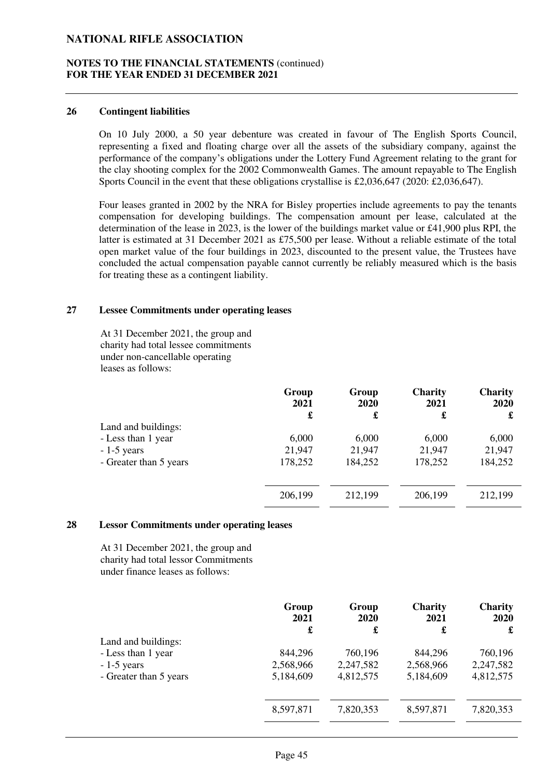#### **NOTES TO THE FINANCIAL STATEMENTS** (continued) **FOR THE YEAR ENDED 31 DECEMBER 2021**

#### **26 Contingent liabilities**

On 10 July 2000, a 50 year debenture was created in favour of The English Sports Council, representing a fixed and floating charge over all the assets of the subsidiary company, against the performance of the company's obligations under the Lottery Fund Agreement relating to the grant for the clay shooting complex for the 2002 Commonwealth Games. The amount repayable to The English Sports Council in the event that these obligations crystallise is £2,036,647 (2020: £2,036,647).

Four leases granted in 2002 by the NRA for Bisley properties include agreements to pay the tenants compensation for developing buildings. The compensation amount per lease, calculated at the determination of the lease in 2023, is the lower of the buildings market value or £41,900 plus RPI, the latter is estimated at 31 December 2021 as £75,500 per lease. Without a reliable estimate of the total open market value of the four buildings in 2023, discounted to the present value, the Trustees have concluded the actual compensation payable cannot currently be reliably measured which is the basis for treating these as a contingent liability.

### **27 Lessee Commitments under operating leases**

At 31 December 2021, the group and charity had total lessee commitments under non-cancellable operating leases as follows:

|                        | Group<br>2021 | Group<br><b>2020</b> | <b>Charity</b><br>2021 | <b>Charity</b><br>2020 |
|------------------------|---------------|----------------------|------------------------|------------------------|
|                        | £             | £                    | £                      | £                      |
| Land and buildings:    |               |                      |                        |                        |
| - Less than 1 year     | 6,000         | 6,000                | 6,000                  | 6,000                  |
| $-1-5$ years           | 21,947        | 21,947               | 21,947                 | 21,947                 |
| - Greater than 5 years | 178,252       | 184,252              | 178,252                | 184,252                |
|                        |               |                      |                        |                        |
|                        | 206,199       | 212,199              | 206,199                | 212,199                |

#### **28 Lessor Commitments under operating leases**

At 31 December 2021, the group and charity had total lessor Commitments under finance leases as follows:

|                        | Group<br>2021 | Group<br><b>2020</b> | <b>Charity</b><br>2021 | <b>Charity</b><br>2020 |
|------------------------|---------------|----------------------|------------------------|------------------------|
|                        | £             | £                    | £                      | £                      |
| Land and buildings:    |               |                      |                        |                        |
| - Less than 1 year     | 844,296       | 760,196              | 844,296                | 760,196                |
| $-1-5$ years           | 2,568,966     | 2,247,582            | 2,568,966              | 2,247,582              |
| - Greater than 5 years | 5,184,609     | 4,812,575            | 5,184,609              | 4,812,575              |
|                        | 8,597,871     | 7,820,353            | 8,597,871              | 7,820,353              |